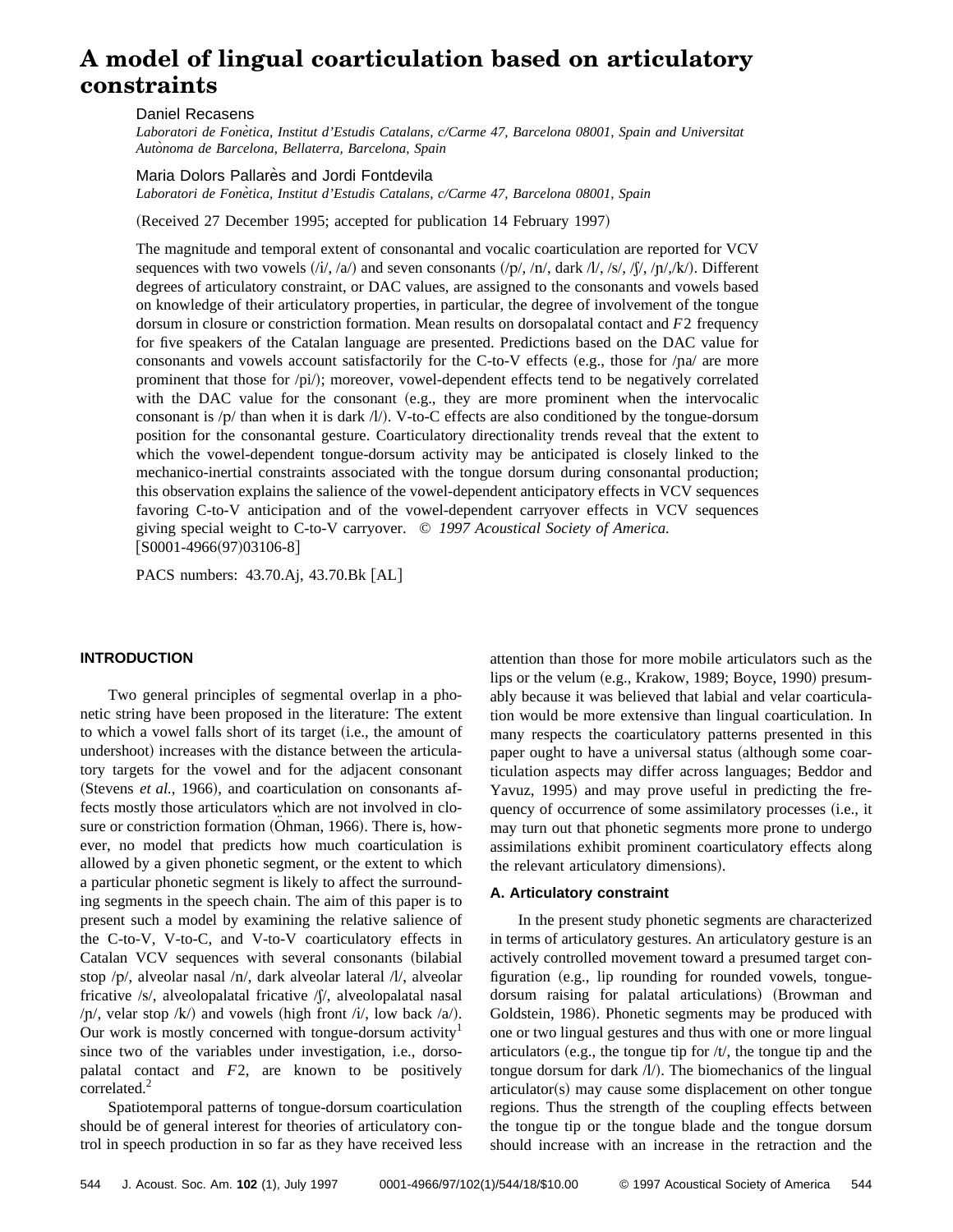# **A model of lingual coarticulation based on articulatory constraints**

# Daniel Recasens

*Laboratori de Fone`tica, Institut d'Estudis Catalans, c/Carme 47, Barcelona 08001, Spain and Universitat Auto`noma de Barcelona, Bellaterra, Barcelona, Spain*

# Maria Dolors Pallares and Jordi Fontdevila

*Laboratori de Fone`tica, Institut d'Estudis Catalans, c/Carme 47, Barcelona 08001, Spain*

(Received 27 December 1995; accepted for publication 14 February 1997)

The magnitude and temporal extent of consonantal and vocalic coarticulation are reported for VCV sequences with two vowels  $(i//\sqrt{a})$  and seven consonants  $/(p//\sqrt{n})$ , dark  $//\sqrt{g}/\sqrt{g}/\sqrt{n}$ . Different degrees of articulatory constraint, or DAC values, are assigned to the consonants and vowels based on knowledge of their articulatory properties, in particular, the degree of involvement of the tongue dorsum in closure or constriction formation. Mean results on dorsopalatal contact and *F*2 frequency for five speakers of the Catalan language are presented. Predictions based on the DAC value for consonants and vowels account satisfactorily for the C-to-V effects (e.g., those for  $/pa/$  are more prominent that those for /pi/); moreover, vowel-dependent effects tend to be negatively correlated with the DAC value for the consonant  $(e.g., they are more prominent when the intervocalic$ consonant is  $/p$  than when it is dark  $/l$ ). V-to-C effects are also conditioned by the tongue-dorsum position for the consonantal gesture. Coarticulatory directionality trends reveal that the extent to which the vowel-dependent tongue-dorsum activity may be anticipated is closely linked to the mechanico-inertial constraints associated with the tongue dorsum during consonantal production; this observation explains the salience of the vowel-dependent anticipatory effects in VCV sequences favoring C-to-V anticipation and of the vowel-dependent carryover effects in VCV sequences giving special weight to C-to-V carryover. © *1997 Acoustical Society of America.*  $[$ S0001-4966(97)03106-8]

PACS numbers: 43.70.Aj, 43.70.Bk [AL]

# **INTRODUCTION**

Two general principles of segmental overlap in a phonetic string have been proposed in the literature: The extent to which a vowel falls short of its target (i.e., the amount of undershoot) increases with the distance between the articulatory targets for the vowel and for the adjacent consonant (Stevens *et al.*, 1966), and coarticulation on consonants affects mostly those articulators which are not involved in closure or constriction formation (Ohman, 1966). There is, however, no model that predicts how much coarticulation is allowed by a given phonetic segment, or the extent to which a particular phonetic segment is likely to affect the surrounding segments in the speech chain. The aim of this paper is to present such a model by examining the relative salience of the C-to-V, V-to-C, and V-to-V coarticulatory effects in Catalan VCV sequences with several consonants (bilabial stop  $/p/$ , alveolar nasal  $/n/$ , dark alveolar lateral  $/l/$ , alveolar fricative /s/, alveolopalatal fricative / $\int$ /, alveolopalatal nasal /p/, velar stop /k/) and vowels (high front /i/, low back /a/). Our work is mostly concerned with tongue-dorsum activity<sup>1</sup> since two of the variables under investigation, i.e., dorsopalatal contact and *F*2, are known to be positively correlated.<sup>2</sup>

Spatiotemporal patterns of tongue-dorsum coarticulation should be of general interest for theories of articulatory control in speech production in so far as they have received less attention than those for more mobile articulators such as the lips or the velum  $(e.g.,$  Krakow, 1989; Boyce, 1990) presumably because it was believed that labial and velar coarticulation would be more extensive than lingual coarticulation. In many respects the coarticulatory patterns presented in this paper ought to have a universal status (although some coarticulation aspects may differ across languages; Beddor and Yavuz, 1995) and may prove useful in predicting the frequency of occurrence of some assimilatory processes (i.e., it may turn out that phonetic segments more prone to undergo assimilations exhibit prominent coarticulatory effects along the relevant articulatory dimensions).

#### **A. Articulatory constraint**

In the present study phonetic segments are characterized in terms of articulatory gestures. An articulatory gesture is an actively controlled movement toward a presumed target configuration (e.g., lip rounding for rounded vowels, tonguedorsum raising for palatal articulations) (Browman and Goldstein, 1986). Phonetic segments may be produced with one or two lingual gestures and thus with one or more lingual articulators (e.g., the tongue tip for  $/t/$ , the tongue tip and the tongue dorsum for dark  $\Lambda$ ). The biomechanics of the lingual  $arliculator(s)$  may cause some displacement on other tongue regions. Thus the strength of the coupling effects between the tongue tip or the tongue blade and the tongue dorsum should increase with an increase in the retraction and the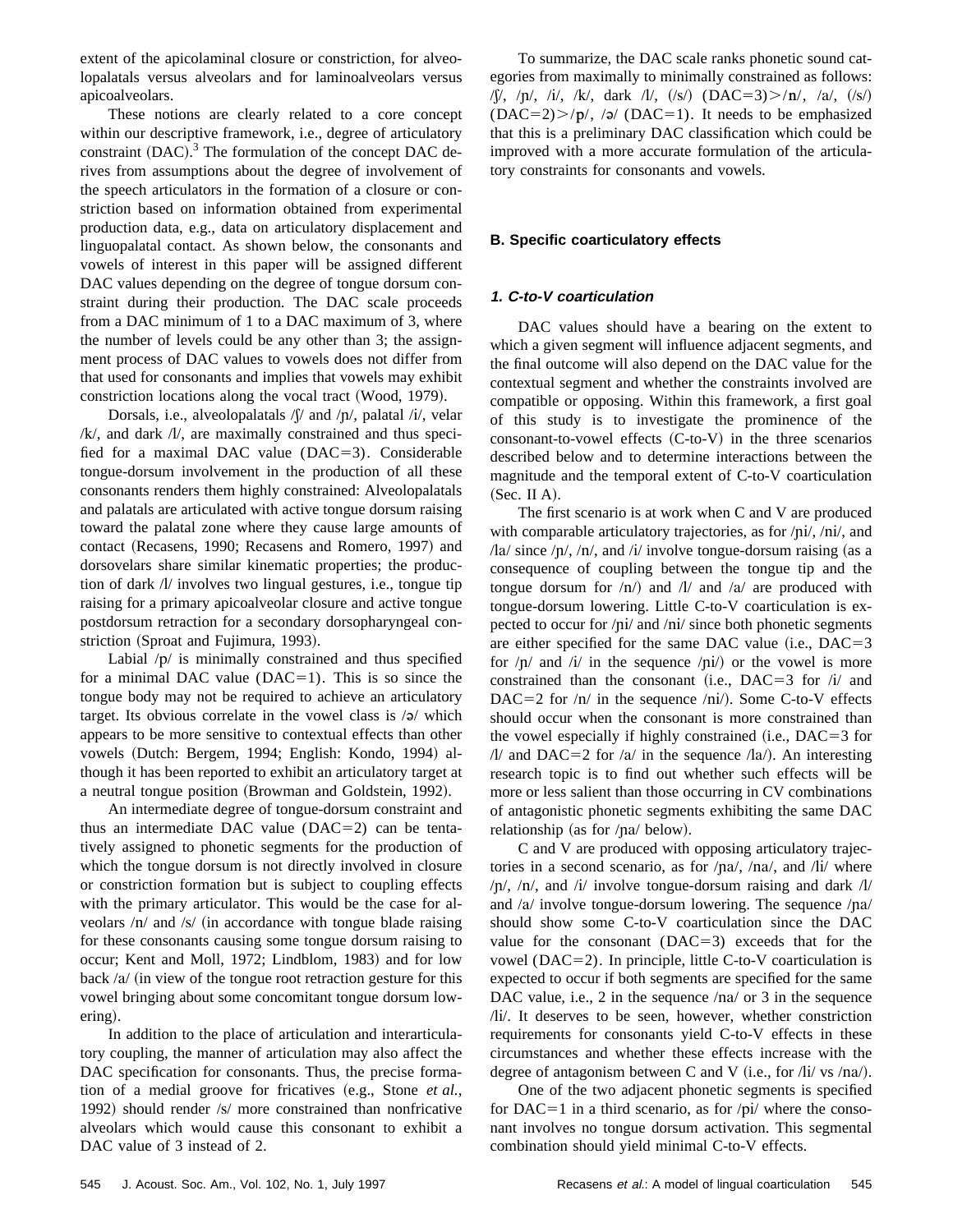extent of the apicolaminal closure or constriction, for alveolopalatals versus alveolars and for laminoalveolars versus apicoalveolars.

These notions are clearly related to a core concept within our descriptive framework, i.e., degree of articulatory constraint  $(DAC)$ .<sup>3</sup> The formulation of the concept DAC derives from assumptions about the degree of involvement of the speech articulators in the formation of a closure or constriction based on information obtained from experimental production data, e.g., data on articulatory displacement and linguopalatal contact. As shown below, the consonants and vowels of interest in this paper will be assigned different DAC values depending on the degree of tongue dorsum constraint during their production. The DAC scale proceeds from a DAC minimum of 1 to a DAC maximum of 3, where the number of levels could be any other than 3; the assignment process of DAC values to vowels does not differ from that used for consonants and implies that vowels may exhibit constriction locations along the vocal tract  $(Wood, 1979)$ .

Dorsals, i.e., alveolopalatals  $\beta$  and  $\beta$ , palatal  $\beta$ , velar  $/k$ , and dark  $/k$ , are maximally constrained and thus specified for a maximal DAC value  $(DAC=3)$ . Considerable tongue-dorsum involvement in the production of all these consonants renders them highly constrained: Alveolopalatals and palatals are articulated with active tongue dorsum raising toward the palatal zone where they cause large amounts of contact (Recasens, 1990; Recasens and Romero, 1997) and dorsovelars share similar kinematic properties; the production of dark  $\Lambda$ / involves two lingual gestures, i.e., tongue tip raising for a primary apicoalveolar closure and active tongue postdorsum retraction for a secondary dorsopharyngeal constriction (Sproat and Fujimura, 1993).

Labial  $/p/$  is minimally constrained and thus specified for a minimal DAC value  $(DAC=1)$ . This is so since the tongue body may not be required to achieve an articulatory target. Its obvious correlate in the vowel class is  $\sqrt{a}$  which appears to be more sensitive to contextual effects than other vowels (Dutch: Bergem, 1994; English: Kondo, 1994) although it has been reported to exhibit an articulatory target at a neutral tongue position (Browman and Goldstein, 1992).

An intermediate degree of tongue-dorsum constraint and thus an intermediate DAC value  $(DAC=2)$  can be tentatively assigned to phonetic segments for the production of which the tongue dorsum is not directly involved in closure or constriction formation but is subject to coupling effects with the primary articulator. This would be the case for alveolars  $/n/$  and  $/s/$  (in accordance with tongue blade raising for these consonants causing some tongue dorsum raising to occur; Kent and Moll, 1972; Lindblom, 1983) and for low back  $/a$  (in view of the tongue root retraction gesture for this vowel bringing about some concomitant tongue dorsum lowering).

In addition to the place of articulation and interarticulatory coupling, the manner of articulation may also affect the DAC specification for consonants. Thus, the precise formation of a medial groove for fricatives (e.g., Stone *et al.*, 1992) should render  $\sqrt{s}$  more constrained than nonfricative alveolars which would cause this consonant to exhibit a DAC value of 3 instead of 2.

To summarize, the DAC scale ranks phonetic sound categories from maximally to minimally constrained as follows: / $\mathcal{V}, \mathcal{V}, \mathcal{V}, \mathcal{V}, \mathcal{V}, \mathcal{V}, \mathbf{d}$ ark  $\mathcal{V}, \mathcal{V}, \mathcal{V}$  (DAC=3) $>$ / $\mathbf{n}', \mathcal{V}, \mathcal{V}, \mathcal{V}$  $(DAC=2)$ / $p/$ , / $q/$  (DAC=1). It needs to be emphasized that this is a preliminary DAC classification which could be improved with a more accurate formulation of the articulatory constraints for consonants and vowels.

# **B. Specific coarticulatory effects**

# **1. C-to-V coarticulation**

DAC values should have a bearing on the extent to which a given segment will influence adjacent segments, and the final outcome will also depend on the DAC value for the contextual segment and whether the constraints involved are compatible or opposing. Within this framework, a first goal of this study is to investigate the prominence of the  $consonant-to-vowel$  effects  $(C-to-V)$  in the three scenarios described below and to determine interactions between the magnitude and the temporal extent of C-to-V coarticulation  $(Sec. II A).$ 

The first scenario is at work when C and V are produced with comparable articulatory trajectories, as for  $\pi/$ i $/$ ,  $\pi/$ , and /la/ since / $p/$ , / $n/$ , and / $i/$  involve tongue-dorsum raising (as a consequence of coupling between the tongue tip and the tongue dorsum for  $/n/$  and  $/l/$  and  $/a/$  are produced with tongue-dorsum lowering. Little C-to-V coarticulation is expected to occur for /pi/ and /ni/ since both phonetic segments are either specified for the same DAC value (i.e.,  $DAC=3$ for  $/p/$  and  $/i/$  in the sequence  $/pi/$  or the vowel is more constrained than the consonant (i.e., DAC=3 for  $\pi$  /i/ and DAC=2 for  $/n/$  in the sequence  $/ni/$ . Some C-to-V effects should occur when the consonant is more constrained than the vowel especially if highly constrained  $(i.e., DAC=3$  for  $/$ l/ and DAC=2 for  $/a/$  in the sequence  $/$ la $/$ ). An interesting research topic is to find out whether such effects will be more or less salient than those occurring in CV combinations of antagonistic phonetic segments exhibiting the same DAC relationship (as for  $/pa/$  below).

C and V are produced with opposing articulatory trajectories in a second scenario, as for  $/na/$ ,  $/na/$ , and  $/bi/$  where  $/p/$ ,  $/n/$ , and  $/i/$  involve tongue-dorsum raising and dark  $/l/$ and / $a$ / involve tongue-dorsum lowering. The sequence / $pa$ / should show some C-to-V coarticulation since the DAC value for the consonant  $(DAC=3)$  exceeds that for the vowel ( $DAC=2$ ). In principle, little C-to-V coarticulation is expected to occur if both segments are specified for the same DAC value, i.e., 2 in the sequence  $/na/$  or 3 in the sequence /li/. It deserves to be seen, however, whether constriction requirements for consonants yield C-to-V effects in these circumstances and whether these effects increase with the degree of antagonism between C and V (i.e., for  $\pi/$ i/ vs  $\pi/$ ).

One of the two adjacent phonetic segments is specified for DAC=1 in a third scenario, as for  $\pi$  /pi/ where the consonant involves no tongue dorsum activation. This segmental combination should yield minimal C-to-V effects.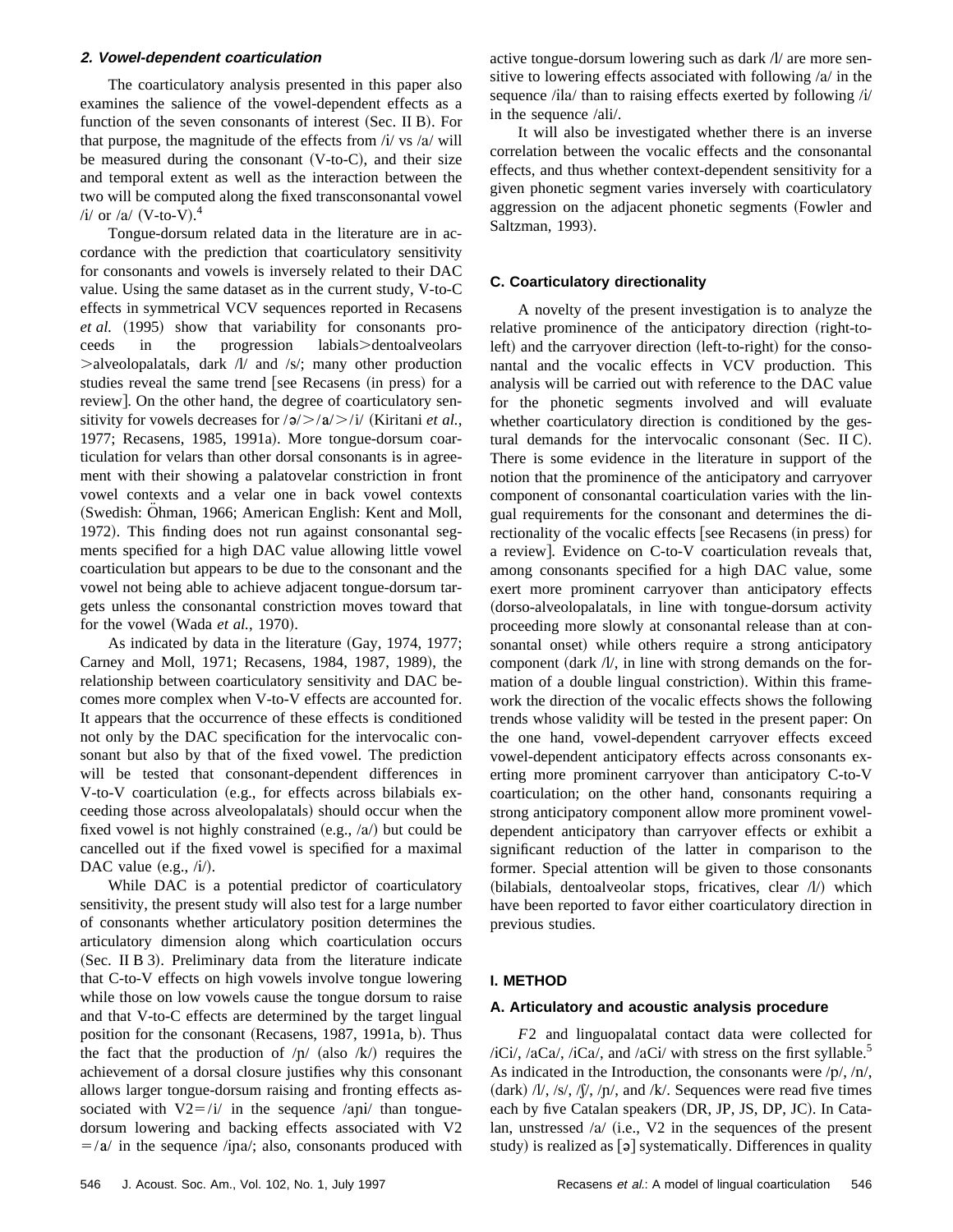#### **2. Vowel-dependent coarticulation**

The coarticulatory analysis presented in this paper also examines the salience of the vowel-dependent effects as a function of the seven consonants of interest  $(Sec.  $\Pi B$ ). For$ that purpose, the magnitude of the effects from  $\pi$  / $\pi$  / vs /a/ will be measured during the consonant  $(V-to-C)$ , and their size and temporal extent as well as the interaction between the two will be computed along the fixed transconsonantal vowel /i/ or /a/ (V-to-V).<sup>4</sup>

Tongue-dorsum related data in the literature are in accordance with the prediction that coarticulatory sensitivity for consonants and vowels is inversely related to their DAC value. Using the same dataset as in the current study, V-to-C effects in symmetrical VCV sequences reported in Recasens *et al.* (1995) show that variability for consonants proceeds in the progression labials>dentoalveolars  $>$ alveolopalatals, dark  $\Lambda$ / and /s/; many other production studies reveal the same trend [see Recasens (in press) for a review... On the other hand, the degree of coarticulatory sensitivity for vowels decreases for  $\frac{\Delta}{>}\frac{\lambda}{\lambda}$  (Kiritani *et al.*, 1977; Recasens, 1985, 1991a). More tongue-dorsum coarticulation for velars than other dorsal consonants is in agreement with their showing a palatovelar constriction in front vowel contexts and a velar one in back vowel contexts (Swedish: Ohman, 1966; American English: Kent and Moll, 1972). This finding does not run against consonantal segments specified for a high DAC value allowing little vowel coarticulation but appears to be due to the consonant and the vowel not being able to achieve adjacent tongue-dorsum targets unless the consonantal constriction moves toward that for the vowel (Wada et al., 1970).

As indicated by data in the literature  $(Gay, 1974, 1977;$ Carney and Moll, 1971; Recasens, 1984, 1987, 1989), the relationship between coarticulatory sensitivity and DAC becomes more complex when V-to-V effects are accounted for. It appears that the occurrence of these effects is conditioned not only by the DAC specification for the intervocalic consonant but also by that of the fixed vowel. The prediction will be tested that consonant-dependent differences in V-to-V coarticulation (e.g., for effects across bilabials exceeding those across alveolopalatals) should occur when the fixed vowel is not highly constrained (e.g.,  $/a$ ) but could be cancelled out if the fixed vowel is specified for a maximal DAC value  $(e.g., /i/).$ 

While DAC is a potential predictor of coarticulatory sensitivity, the present study will also test for a large number of consonants whether articulatory position determines the articulatory dimension along which coarticulation occurs  $(Sec.$  II B 3). Preliminary data from the literature indicate that C-to-V effects on high vowels involve tongue lowering while those on low vowels cause the tongue dorsum to raise and that V-to-C effects are determined by the target lingual position for the consonant (Recasens, 1987, 1991a, b). Thus the fact that the production of  $/p/$  (also  $/k/$ ) requires the achievement of a dorsal closure justifies why this consonant allows larger tongue-dorsum raising and fronting effects associated with  $V2 = /i/$  in the sequence /ani/ than tonguedorsum lowering and backing effects associated with V2  $=$ / $a$ / in the sequence /ina/; also, consonants produced with

It will also be investigated whether there is an inverse correlation between the vocalic effects and the consonantal effects, and thus whether context-dependent sensitivity for a given phonetic segment varies inversely with coarticulatory aggression on the adjacent phonetic segments (Fowler and Saltzman, 1993).

# **C. Coarticulatory directionality**

A novelty of the present investigation is to analyze the relative prominence of the anticipatory direction (right-toleft) and the carryover direction (left-to-right) for the consonantal and the vocalic effects in VCV production. This analysis will be carried out with reference to the DAC value for the phonetic segments involved and will evaluate whether coarticulatory direction is conditioned by the gestural demands for the intervocalic consonant (Sec. II C). There is some evidence in the literature in support of the notion that the prominence of the anticipatory and carryover component of consonantal coarticulation varies with the lingual requirements for the consonant and determines the directionality of the vocalic effects [see Recasens (in press) for a review]. Evidence on C-to-V coarticulation reveals that, among consonants specified for a high DAC value, some exert more prominent carryover than anticipatory effects (dorso-alveolopalatals, in line with tongue-dorsum activity proceeding more slowly at consonantal release than at consonantal onset) while others require a strong anticipatory component (dark  $//\prime$ , in line with strong demands on the formation of a double lingual constriction). Within this framework the direction of the vocalic effects shows the following trends whose validity will be tested in the present paper: On the one hand, vowel-dependent carryover effects exceed vowel-dependent anticipatory effects across consonants exerting more prominent carryover than anticipatory C-to-V coarticulation; on the other hand, consonants requiring a strong anticipatory component allow more prominent voweldependent anticipatory than carryover effects or exhibit a significant reduction of the latter in comparison to the former. Special attention will be given to those consonants (bilabials, dentoalveolar stops, fricatives, clear  $\Lambda$ ) which have been reported to favor either coarticulatory direction in previous studies.

### **I. METHOD**

#### **A. Articulatory and acoustic analysis procedure**

*F*2 and linguopalatal contact data were collected for /iCi/, /aCa/, /iCa/, and /aCi/ with stress on the first syllable.<sup>5</sup> As indicated in the Introduction, the consonants were  $/p/$ ,  $/n/$ ,  $(\text{dark})$  /l/, /s/, / $\int$ /, /n/, and /k/. Sequences were read five times each by five Catalan speakers (DR, JP, JS, DP, JC). In Catalan, unstressed  $/a/$  (i.e., V2 in the sequences of the present study) is realized as  $\lceil 9 \rceil$  systematically. Differences in quality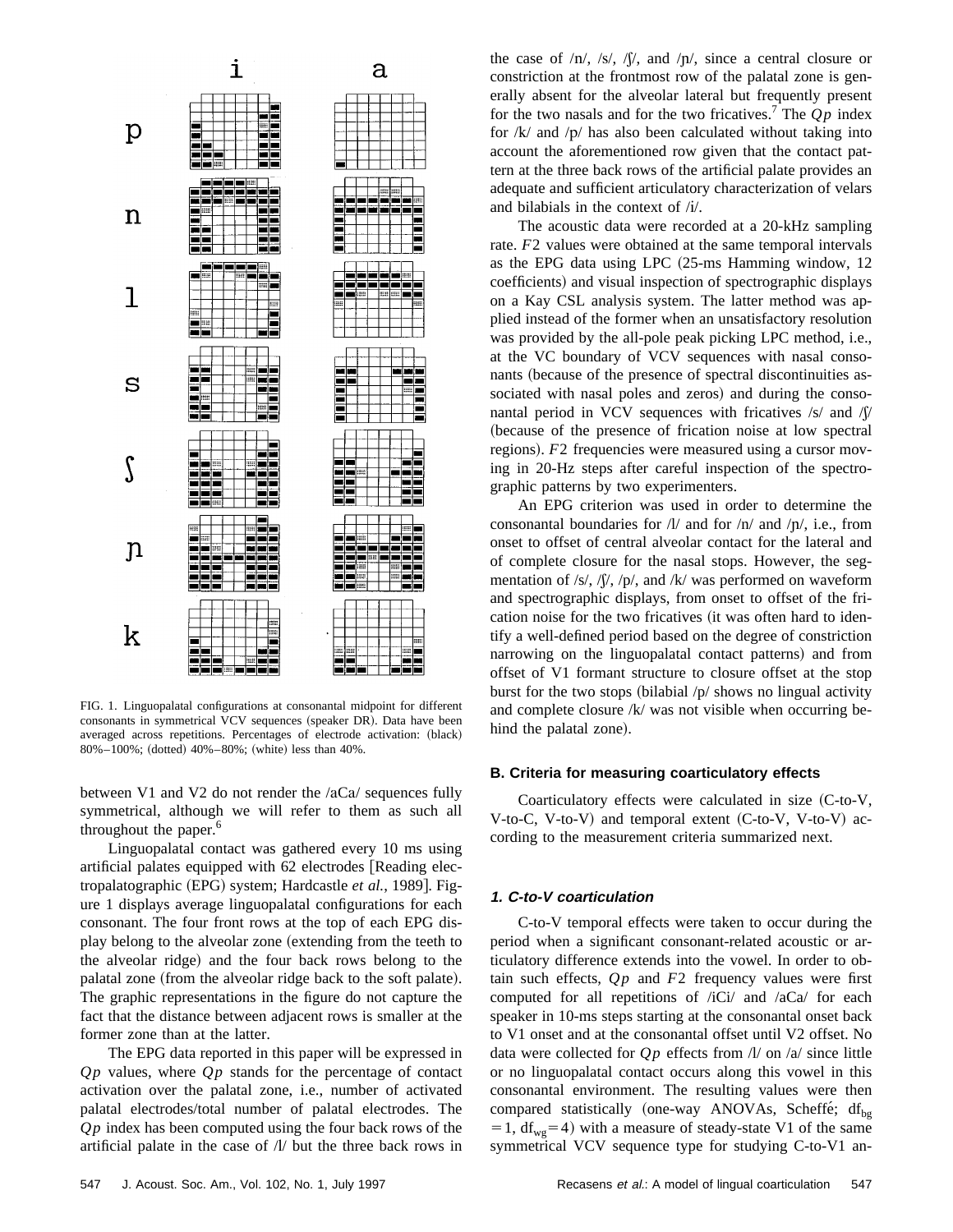

FIG. 1. Linguopalatal configurations at consonantal midpoint for different consonants in symmetrical VCV sequences (speaker DR). Data have been averaged across repetitions. Percentages of electrode activation: (black) 80%–100%; (dotted)  $40\%$ –80%; (white) less than  $40\%$ .

between V1 and V2 do not render the  $/\text{aCa}/$  sequences fully symmetrical, although we will refer to them as such all throughout the paper.<sup>6</sup>

Linguopalatal contact was gathered every 10 ms using artificial palates equipped with 62 electrodes [Reading electropalatographic (EPG) system; Hardcastle et al., 1989]. Figure 1 displays average linguopalatal configurations for each consonant. The four front rows at the top of each EPG display belong to the alveolar zone (extending from the teeth to the alveolar ridge) and the four back rows belong to the palatal zone (from the alveolar ridge back to the soft palate). The graphic representations in the figure do not capture the fact that the distance between adjacent rows is smaller at the former zone than at the latter.

The EPG data reported in this paper will be expressed in *Q p* values, where *Q p* stands for the percentage of contact activation over the palatal zone, i.e., number of activated palatal electrodes/total number of palatal electrodes. The *Q p* index has been computed using the four back rows of the artificial palate in the case of  $\Lambda$  but the three back rows in the case of  $/n/$ ,  $/s/$ ,  $\sqrt{s}/$ , and  $/p/$ , since a central closure or constriction at the frontmost row of the palatal zone is generally absent for the alveolar lateral but frequently present for the two nasals and for the two fricatives.<sup>7</sup> The  $Op$  index for  $/k/$  and  $/p/$  has also been calculated without taking into account the aforementioned row given that the contact pattern at the three back rows of the artificial palate provides an adequate and sufficient articulatory characterization of velars and bilabials in the context of /i/.

The acoustic data were recorded at a 20-kHz sampling rate. *F*2 values were obtained at the same temporal intervals as the EPG data using LPC  $(25\text{-ms}$  Hamming window, 12 coefficients) and visual inspection of spectrographic displays on a Kay CSL analysis system. The latter method was applied instead of the former when an unsatisfactory resolution was provided by the all-pole peak picking LPC method, i.e., at the VC boundary of VCV sequences with nasal consonants (because of the presence of spectral discontinuities associated with nasal poles and zeros) and during the consonantal period in VCV sequences with fricatives  $\frac{s}{a}$  and  $\frac{s}{b}$ (because of the presence of frication noise at low spectral regions). *F*2 frequencies were measured using a cursor moving in 20-Hz steps after careful inspection of the spectrographic patterns by two experimenters.

An EPG criterion was used in order to determine the consonantal boundaries for  $/l/$  and for  $/n/$  and  $/p/$ , i.e., from onset to offset of central alveolar contact for the lateral and of complete closure for the nasal stops. However, the segmentation of /s/, / $\int$ /, /p/, and /k/ was performed on waveform and spectrographic displays, from onset to offset of the frication noise for the two fricatives (it was often hard to identify a well-defined period based on the degree of constriction narrowing on the linguopalatal contact patterns) and from offset of V1 formant structure to closure offset at the stop burst for the two stops (bilabial  $/p/$  shows no lingual activity and complete closure /k/ was not visible when occurring behind the palatal zone).

# **B. Criteria for measuring coarticulatory effects**

Coarticulatory effects were calculated in size  $(C$ -to-V, V-to-C, V-to-V) and temporal extent  $(C$ -to-V, V-to-V) according to the measurement criteria summarized next.

# **1. C-to-V coarticulation**

C-to-V temporal effects were taken to occur during the period when a significant consonant-related acoustic or articulatory difference extends into the vowel. In order to obtain such effects,  $Qp$  and  $F2$  frequency values were first computed for all repetitions of /iCi/ and /aCa/ for each speaker in 10-ms steps starting at the consonantal onset back to V1 onset and at the consonantal offset until V2 offset. No data were collected for  $Qp$  effects from  $\Lambda$  on  $\Lambda$  since little or no linguopalatal contact occurs along this vowel in this consonantal environment. The resulting values were then compared statistically (one-way ANOVAs, Scheffe;  $df_{bg}$  $=1$ , df<sub>wg</sub>=4) with a measure of steady-state V1 of the same symmetrical VCV sequence type for studying C-to-V1 an-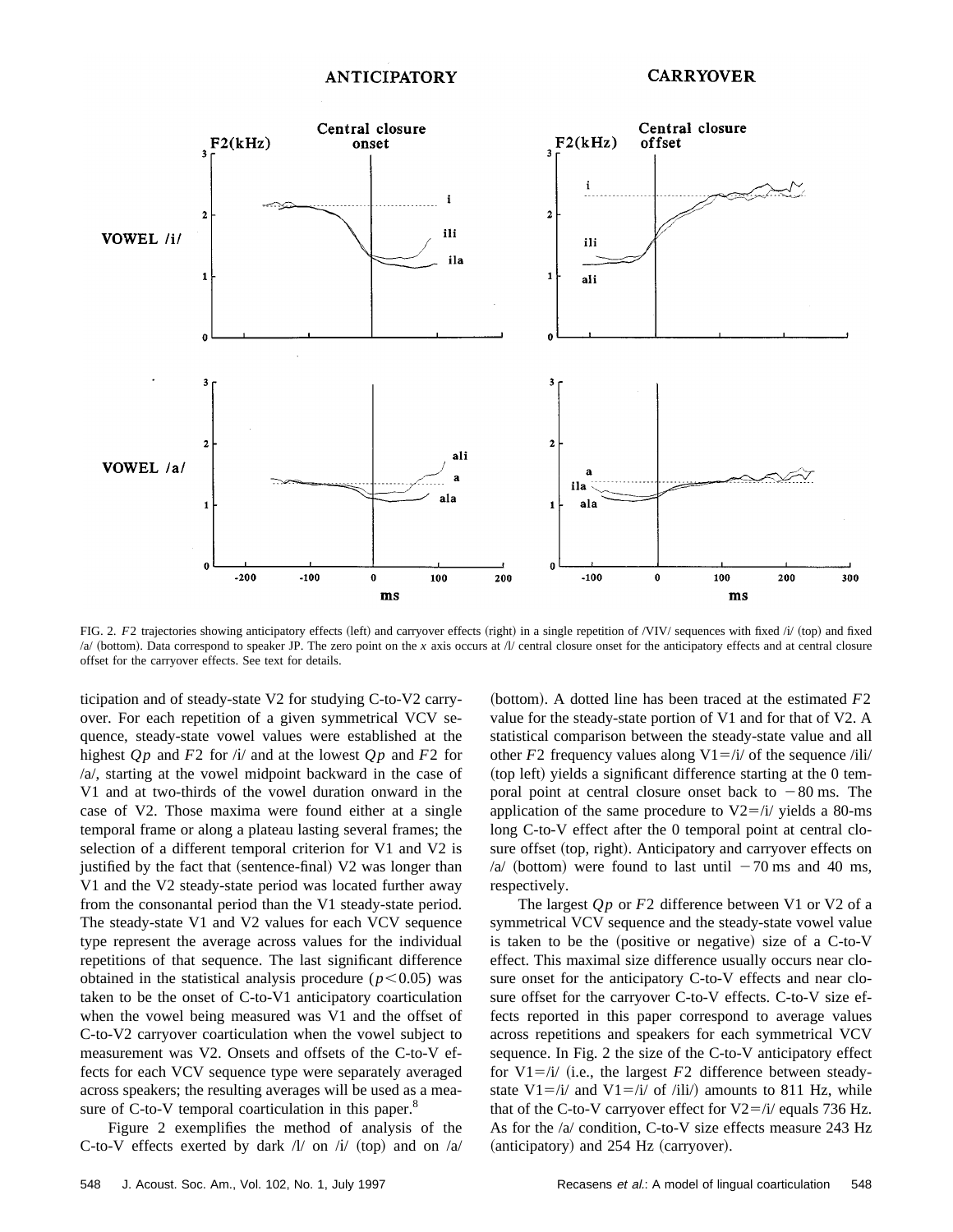

FIG. 2. F2 trajectories showing anticipatory effects (left) and carryover effects (right) in a single repetition of /VIV/ sequences with fixed /i/ (top) and fixed  $/a$  (bottom). Data correspond to speaker JP. The zero point on the *x* axis occurs at  $/l$  central closure onset for the anticipatory effects and at central closure offset for the carryover effects. See text for details.

ticipation and of steady-state V2 for studying C-to-V2 carryover. For each repetition of a given symmetrical VCV sequence, steady-state vowel values were established at the highest  $Qp$  and  $F2$  for  $\pi$  and at the lowest  $Qp$  and  $F2$  for /a/, starting at the vowel midpoint backward in the case of V1 and at two-thirds of the vowel duration onward in the case of V2. Those maxima were found either at a single temporal frame or along a plateau lasting several frames; the selection of a different temporal criterion for V1 and V2 is justified by the fact that (sentence-final) V2 was longer than V1 and the V2 steady-state period was located further away from the consonantal period than the V1 steady-state period. The steady-state V1 and V2 values for each VCV sequence type represent the average across values for the individual repetitions of that sequence. The last significant difference obtained in the statistical analysis procedure  $(p<0.05)$  was taken to be the onset of C-to-V1 anticipatory coarticulation when the vowel being measured was V1 and the offset of C-to-V2 carryover coarticulation when the vowel subject to measurement was V2. Onsets and offsets of the C-to-V effects for each VCV sequence type were separately averaged across speakers; the resulting averages will be used as a measure of C-to-V temporal coarticulation in this paper.<sup>8</sup>

Figure 2 exemplifies the method of analysis of the C-to-V effects exerted by dark  $\Lambda$  on  $\Lambda$  (top) and on  $\Lambda$  (bottom). A dotted line has been traced at the estimated  $F2$ value for the steady-state portion of V1 and for that of V2. A statistical comparison between the steady-state value and all other  $F2$  frequency values along  $V1 = /i/$  of the sequence /ili/  $^{(top)}$  left) yields a significant difference starting at the 0 temporal point at central closure onset back to  $-80$  ms. The application of the same procedure to  $V2 = /i/$  yields a 80-ms long C-to-V effect after the 0 temporal point at central closure offset (top, right). Anticipatory and carryover effects on /a/ (bottom) were found to last until  $-70$  ms and 40 ms, respectively.

The largest *Qp* or *F*2 difference between V1 or V2 of a symmetrical VCV sequence and the steady-state vowel value is taken to be the (positive or negative) size of a  $C$ -to-V effect. This maximal size difference usually occurs near closure onset for the anticipatory C-to-V effects and near closure offset for the carryover C-to-V effects. C-to-V size effects reported in this paper correspond to average values across repetitions and speakers for each symmetrical VCV sequence. In Fig. 2 the size of the C-to-V anticipatory effect for  $V1 = i/$  (i.e., the largest *F*2 difference between steadystate V1=/i/ and V1=/i/ of /ili/) amounts to 811 Hz, while that of the C-to-V carryover effect for  $V2 = i/$  equals 736 Hz. As for the /a/ condition, C-to-V size effects measure 243 Hz (anticipatory) and 254 Hz (carryover).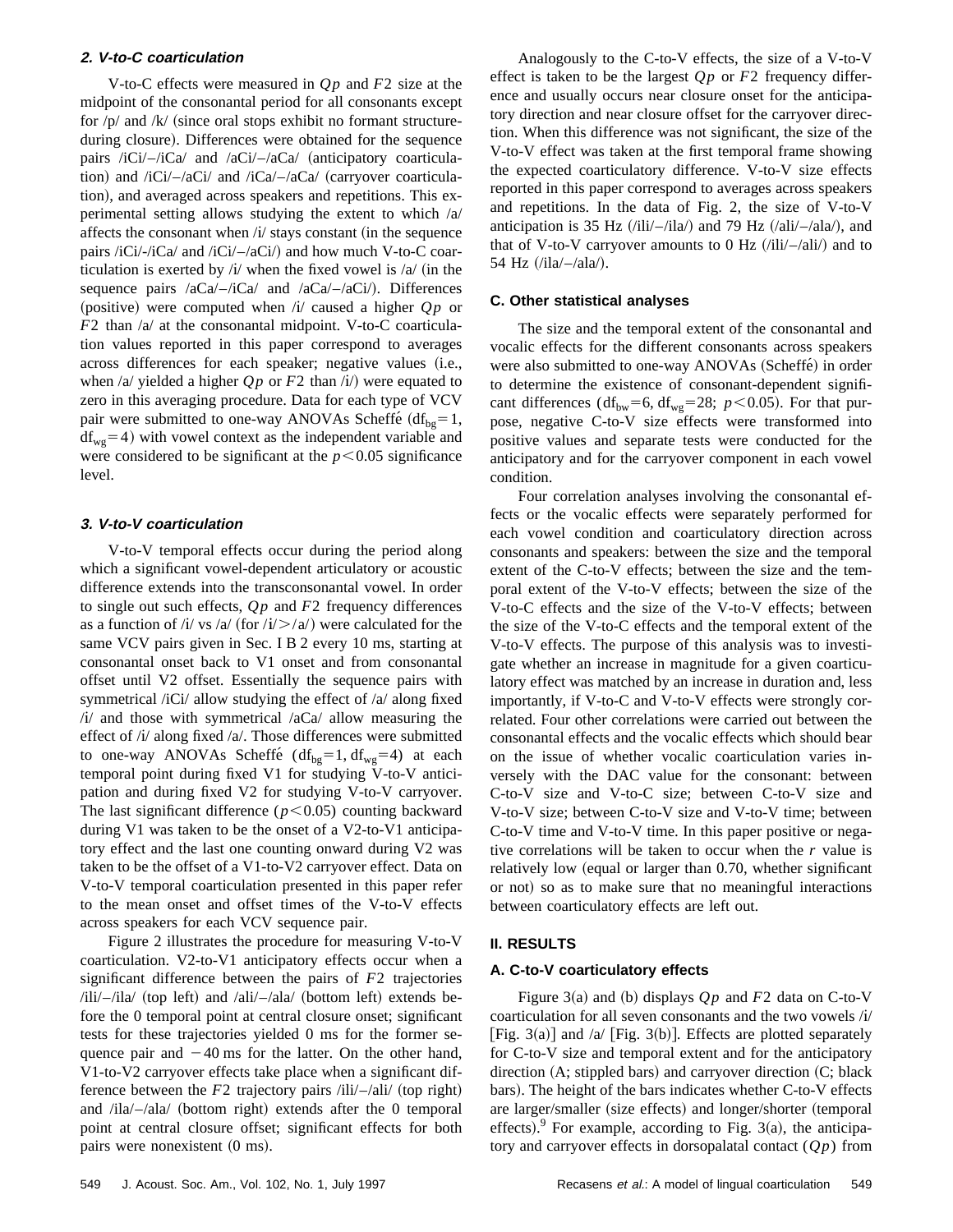# **2. V-to-C coarticulation**

V-to-C effects were measured in  $Qp$  and  $F2$  size at the midpoint of the consonantal period for all consonants except for  $/p/$  and  $/k/$  (since oral stops exhibit no formant structureduring closure). Differences were obtained for the sequence pairs /iCi/ $-i$ Ca/ and /aCi/ $-i$ aCa/ (anticipatory coarticulation) and  $\frac{iCi}{-}aCi'$  and  $\frac{iCa}{-}aCa'$  (carryover coarticulation), and averaged across speakers and repetitions. This experimental setting allows studying the extent to which /a/ affects the consonant when  $\frac{1}{4}$  stays constant (in the sequence pairs  $\frac{i}{C}$ i/- $\frac{i}{C}$ and  $\frac{i}{C}$ i/- $\frac{i}{C}$ and how much V-to-C coarticulation is exerted by  $\lambda / \lambda$  when the fixed vowel is  $\lambda / \lambda$  (in the sequence pairs  $/aCa/-/iCa/$  and  $/aCa/-/aCi/$ . Differences (positive) were computed when  $(i)$  caused a higher  $Qp$  or *F*2 than /a/ at the consonantal midpoint. V-to-C coarticulation values reported in this paper correspond to averages across differences for each speaker; negative values (i.e., when  $\alpha$  yielded a higher  $Qp$  or  $F2$  than  $\alpha$  were equated to zero in this averaging procedure. Data for each type of VCV pair were submitted to one-way ANOVAs Scheffé  $(df_{bg}=1,$  $df_{wo}=4$ ) with vowel context as the independent variable and were considered to be significant at the  $p < 0.05$  significance level.

#### **3. V-to-V coarticulation**

V-to-V temporal effects occur during the period along which a significant vowel-dependent articulatory or acoustic difference extends into the transconsonantal vowel. In order to single out such effects, *Q p* and *F*2 frequency differences as a function of /i/ vs /a/ (for  $(i/$  >/a/) were calculated for the same VCV pairs given in Sec. I B 2 every 10 ms, starting at consonantal onset back to V1 onset and from consonantal offset until V2 offset. Essentially the sequence pairs with symmetrical /iCi/ allow studying the effect of /a/ along fixed  $\frac{1}{4}$  and those with symmetrical  $\frac{1}{2}$  allow measuring the effect of /i/ along fixed /a/. Those differences were submitted to one-way ANOVAs Scheffé (df<sub>bg</sub>=1, df<sub>wg</sub>=4) at each temporal point during fixed V1 for studying V-to-V anticipation and during fixed V2 for studying V-to-V carryover. The last significant difference  $(p<0.05)$  counting backward during V1 was taken to be the onset of a V2-to-V1 anticipatory effect and the last one counting onward during V2 was taken to be the offset of a V1-to-V2 carryover effect. Data on V-to-V temporal coarticulation presented in this paper refer to the mean onset and offset times of the V-to-V effects across speakers for each VCV sequence pair.

Figure 2 illustrates the procedure for measuring V-to-V coarticulation. V2-to-V1 anticipatory effects occur when a significant difference between the pairs of *F*2 trajectories  $\frac{\partial^2 u}{\partial t}$  (top left) and  $\frac{\partial^2 u}{\partial t}$  (bottom left) extends before the 0 temporal point at central closure onset; significant tests for these trajectories yielded 0 ms for the former sequence pair and  $-40$  ms for the latter. On the other hand, V1-to-V2 carryover effects take place when a significant difference between the  $F2$  trajectory pairs  $\ell$ ili $\ell$ –/ali $\ell$  (top right) and  $\lambda$ ila/ $-\lambda$ ala/ (bottom right) extends after the 0 temporal point at central closure offset; significant effects for both pairs were nonexistent  $(0 \text{ ms})$ .

Analogously to the C-to-V effects, the size of a V-to-V effect is taken to be the largest *Q p* or *F*2 frequency difference and usually occurs near closure onset for the anticipatory direction and near closure offset for the carryover direction. When this difference was not significant, the size of the V-to-V effect was taken at the first temporal frame showing the expected coarticulatory difference. V-to-V size effects reported in this paper correspond to averages across speakers and repetitions. In the data of Fig. 2, the size of V-to-V anticipation is 35 Hz  $(i\text{li}\text{/}-i\text{la})$  and 79 Hz  $(i\text{ali}\text{/}-i\text{la})$ , and that of V-to-V carryover amounts to  $0$  Hz  $(i\text{li}/-/\text{ali})$  and to 54 Hz  $(ila/-/ala)$ .

#### **C. Other statistical analyses**

The size and the temporal extent of the consonantal and vocalic effects for the different consonants across speakers were also submitted to one-way ANOVAs (Scheffe) in order to determine the existence of consonant-dependent significant differences ( $df_{bw} = 6$ ,  $df_{wg} = 28$ ; *p*<0.05). For that purpose, negative C-to-V size effects were transformed into positive values and separate tests were conducted for the anticipatory and for the carryover component in each vowel condition.

Four correlation analyses involving the consonantal effects or the vocalic effects were separately performed for each vowel condition and coarticulatory direction across consonants and speakers: between the size and the temporal extent of the C-to-V effects; between the size and the temporal extent of the V-to-V effects; between the size of the V-to-C effects and the size of the V-to-V effects; between the size of the V-to-C effects and the temporal extent of the V-to-V effects. The purpose of this analysis was to investigate whether an increase in magnitude for a given coarticulatory effect was matched by an increase in duration and, less importantly, if V-to-C and V-to-V effects were strongly correlated. Four other correlations were carried out between the consonantal effects and the vocalic effects which should bear on the issue of whether vocalic coarticulation varies inversely with the DAC value for the consonant: between C-to-V size and V-to-C size; between C-to-V size and V-to-V size; between C-to-V size and V-to-V time; between C-to-V time and V-to-V time. In this paper positive or negative correlations will be taken to occur when the *r* value is relatively low (equal or larger than 0.70, whether significant or not) so as to make sure that no meaningful interactions between coarticulatory effects are left out.

#### **II. RESULTS**

#### **A. C-to-V coarticulatory effects**

Figure 3(a) and (b) displays  $Op$  and  $F2$  data on C-to-V coarticulation for all seven consonants and the two vowels /i/ [Fig. 3(a)] and /a/ [Fig. 3(b)]. Effects are plotted separately for C-to-V size and temporal extent and for the anticipatory direction  $(A;$  stippled bars) and carryover direction  $(C;$  black bars). The height of the bars indicates whether C-to-V effects are larger/smaller (size effects) and longer/shorter (temporal effects). For example, according to Fig. 3(a), the anticipatory and carryover effects in dorsopalatal contact  $(Qp)$  from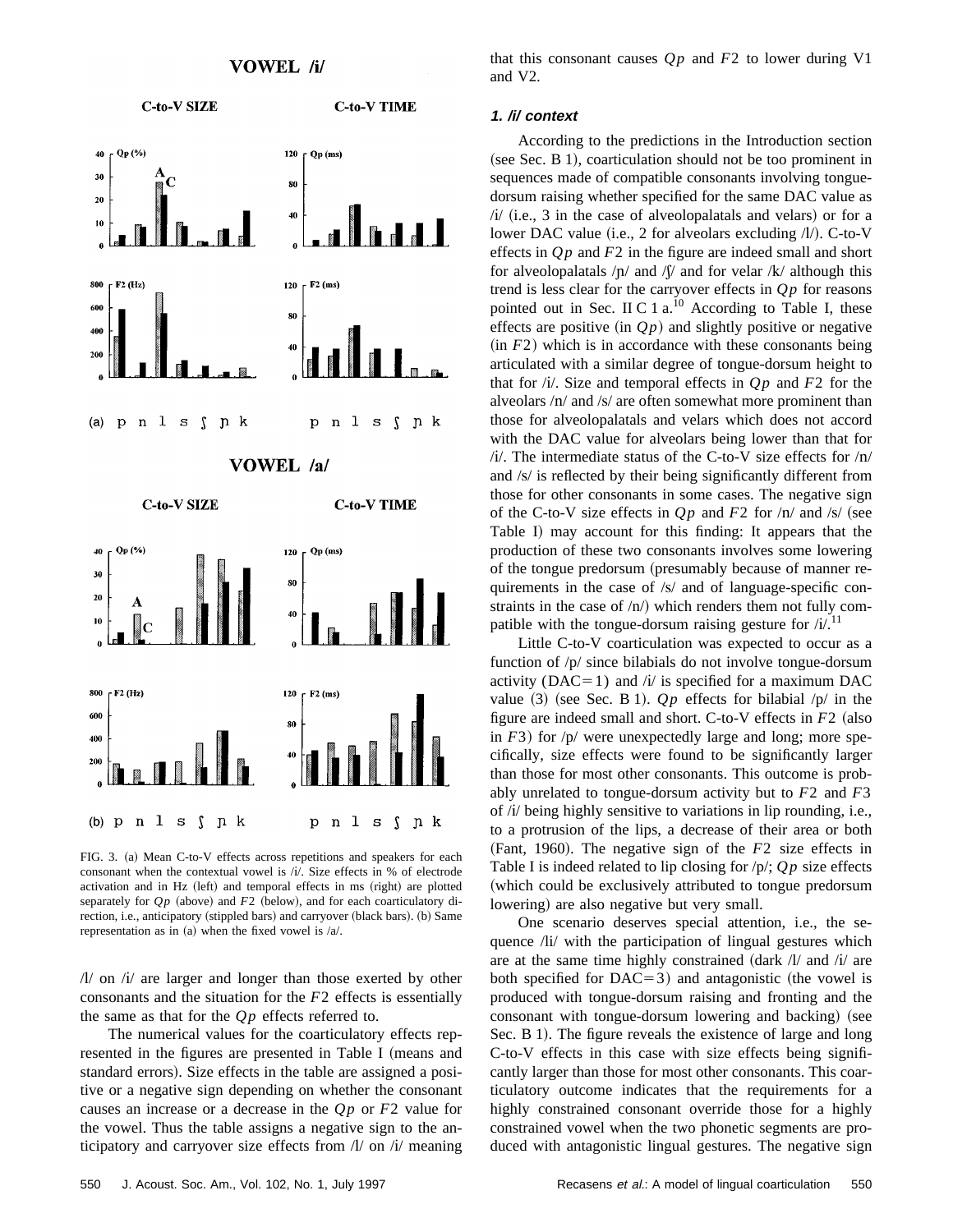

FIG. 3. (a) Mean C-to-V effects across repetitions and speakers for each consonant when the contextual vowel is /i/. Size effects in % of electrode activation and in Hz (left) and temporal effects in ms (right) are plotted separately for  $Qp$  (above) and  $F2$  (below), and for each coarticulatory direction, i.e., anticipatory (stippled bars) and carryover (black bars). (b) Same representation as in (a) when the fixed vowel is  $/a$ .

 $//\!\!/$  on  $//\!\!/$  are larger and longer than those exerted by other consonants and the situation for the *F*2 effects is essentially the same as that for the  $Qp$  effects referred to.

The numerical values for the coarticulatory effects represented in the figures are presented in Table I (means and standard errors). Size effects in the table are assigned a positive or a negative sign depending on whether the consonant causes an increase or a decrease in the *Q p* or *F*2 value for the vowel. Thus the table assigns a negative sign to the anticipatory and carryover size effects from  $\Lambda$  on  $\Lambda$  meaning that this consonant causes  $Qp$  and  $F2$  to lower during V1 and V2.

#### **1. /i/ context**

According to the predictions in the Introduction section  $(see Sec. B 1), coarticulation should not be too prominent in$ sequences made of compatible consonants involving tonguedorsum raising whether specified for the same DAC value as  $\frac{1}{i}$  (i.e., 3 in the case of alveolopalatals and velars) or for a lower DAC value (i.e., 2 for alveolars excluding  $//\prime$ ). C-to-V effects in *Q p* and *F*2 in the figure are indeed small and short for alveolopalatals  $/p/$  and  $\int$  and for velar /k/ although this trend is less clear for the carryover effects in  $Qp$  for reasons pointed out in Sec. II C 1  $a^{10}$  According to Table I, these effects are positive (in  $Q_p$ ) and slightly positive or negative  $(in F2)$  which is in accordance with these consonants being articulated with a similar degree of tongue-dorsum height to that for  $\pi/4$ . Size and temporal effects in  $Qp$  and  $F2$  for the alveolars  $/n/$  and  $/s/$  are often somewhat more prominent than those for alveolopalatals and velars which does not accord with the DAC value for alveolars being lower than that for  $/$ i. The intermediate status of the C-to-V size effects for  $/$ n $/$ and /s/ is reflected by their being significantly different from those for other consonants in some cases. The negative sign of the C-to-V size effects in  $Qp$  and  $F2$  for  $\ln/\text{and/s}/(\text{see}$ Table I) may account for this finding: It appears that the production of these two consonants involves some lowering of the tongue predorsum (presumably because of manner requirements in the case of /s/ and of language-specific constraints in the case of  $/n/$ ) which renders them not fully compatible with the tongue-dorsum raising gesture for  $/i$ .<sup>11</sup>

Little C-to-V coarticulation was expected to occur as a function of /p/ since bilabials do not involve tongue-dorsum activity ( $DAC=1$ ) and / $i$ / is specified for a maximum DAC value  $(3)$  (see Sec. B 1).  $Qp$  effects for bilabial  $/p/$  in the figure are indeed small and short. C-to-V effects in  $F2$  (also in  $F3$ ) for  $/p/$  were unexpectedly large and long; more specifically, size effects were found to be significantly larger than those for most other consonants. This outcome is probably unrelated to tongue-dorsum activity but to *F*2 and *F*3 of /{/ being highly sensitive to variations in lip rounding, i.e., to a protrusion of the lips, a decrease of their area or both  $(Fant, 1960)$ . The negative sign of the  $F2$  size effects in Table I is indeed related to lip closing for  $/p$ ;  $Qp$  size effects (which could be exclusively attributed to tongue predorsum lowering) are also negative but very small.

One scenario deserves special attention, i.e., the sequence /li/ with the participation of lingual gestures which are at the same time highly constrained  $\frac{d}{dx}$  /l/ and /i/ are both specified for  $DAC=3)$  and antagonistic (the vowel is produced with tongue-dorsum raising and fronting and the consonant with tongue-dorsum lowering and backing) (see Sec. B 1). The figure reveals the existence of large and long C-to-V effects in this case with size effects being significantly larger than those for most other consonants. This coarticulatory outcome indicates that the requirements for a highly constrained consonant override those for a highly constrained vowel when the two phonetic segments are produced with antagonistic lingual gestures. The negative sign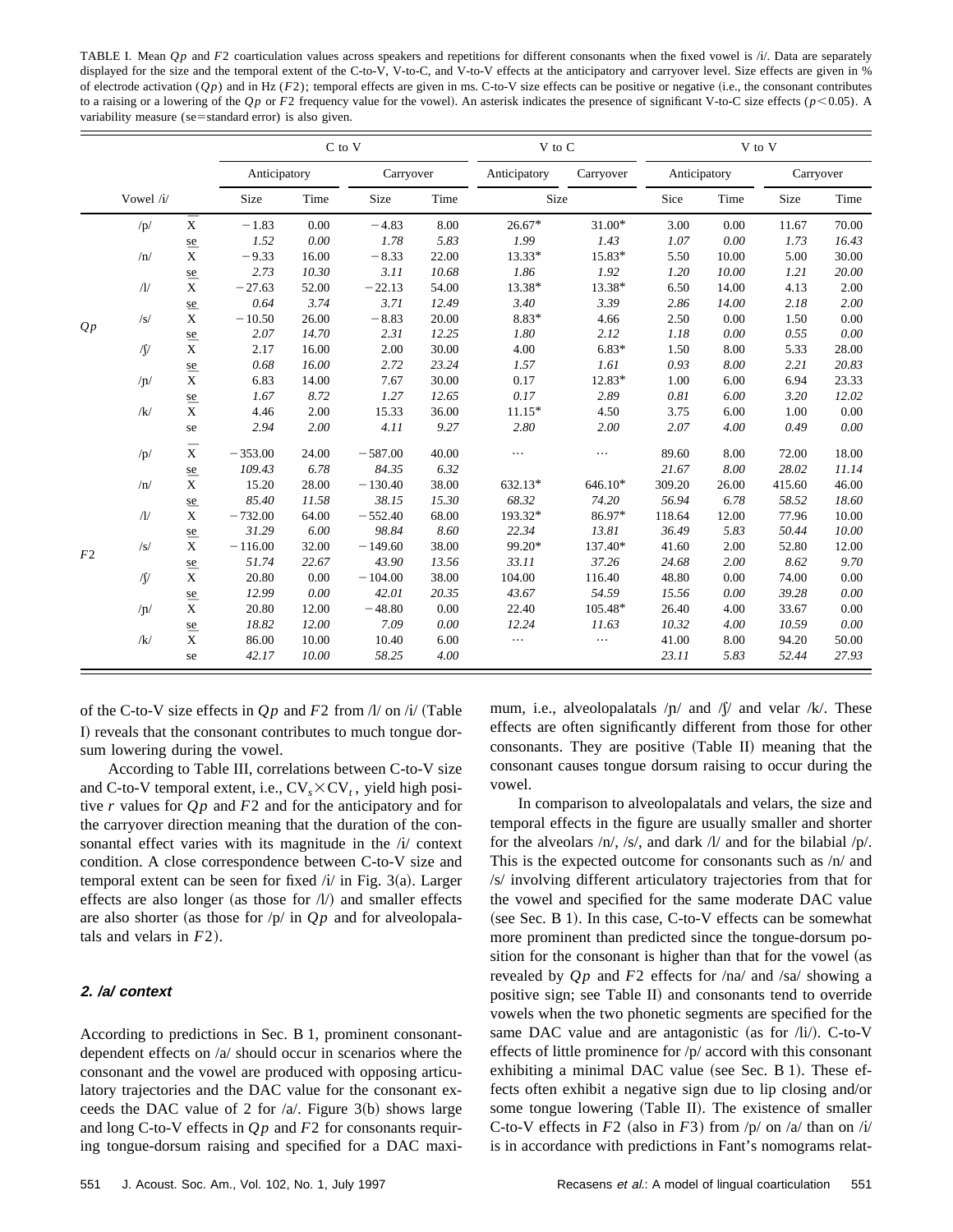TABLE I. Mean *Qp* and *F2* coarticulation values across speakers and repetitions for different consonants when the fixed vowel is /i/. Data are separately displayed for the size and the temporal extent of the C-to-V, V-to-C, and V-to-V effects at the anticipatory and carryover level. Size effects are given in % of electrode activation  $(Qp)$  and in Hz  $(F2)$ ; temporal effects are given in ms. C-to-V size effects can be positive or negative (i.e., the consonant contributes to a raising or a lowering of the  $Qp$  or  $F2$  frequency value for the vowel). An asterisk indicates the presence of significant V-to-C size effects ( $p$ <0.05). A variability measure (se=standard error) is also given.

|                | C to V        |                              |              |       |           | V to C |              | V to V    |        |              |        |           |  |
|----------------|---------------|------------------------------|--------------|-------|-----------|--------|--------------|-----------|--------|--------------|--------|-----------|--|
|                |               |                              | Anticipatory |       | Carryover |        | Anticipatory | Carryover |        | Anticipatory |        | Carryover |  |
|                | Vowel /i/     |                              | Size         | Time  | Size      | Time   | Size         |           | Sice   | Time         | Size   | Time      |  |
|                | /p/           | $\bar{\textbf{x}}$           | $-1.83$      | 0.00  | $-4.83$   | 8.00   | $26.67*$     | 31.00*    | 3.00   | 0.00         | 11.67  | 70.00     |  |
|                |               | se                           | 1.52         | 0.00  | 1.78      | 5.83   | 1.99         | 1.43      | 1.07   | 0.00         | 1.73   | 16.43     |  |
|                | /n/           | $\overline{\overline{x}}$    | $-9.33$      | 16.00 | $-8.33$   | 22.00  | 13.33*       | 15.83*    | 5.50   | 10.00        | 5.00   | 30.00     |  |
|                |               |                              | 2.73         | 10.30 | 3.11      | 10.68  | 1.86         | 1.92      | 1.20   | 10.00        | 1.21   | 20.00     |  |
|                | $\Lambda$     | $\frac{\text{se}}{\text{X}}$ | $-27.63$     | 52.00 | $-22.13$  | 54.00  | 13.38*       | 13.38*    | 6.50   | 14.00        | 4.13   | 2.00      |  |
|                |               | $\frac{\text{se}}{\text{X}}$ | 0.64         | 3.74  | 3.71      | 12.49  | 3.40         | 3.39      | 2.86   | 14.00        | 2.18   | 2.00      |  |
| Qp             | /s/           |                              | $-10.50$     | 26.00 | $-8.83$   | 20.00  | 8.83*        | 4.66      | 2.50   | 0.00         | 1.50   | 0.00      |  |
|                |               | se                           | 2.07         | 14.70 | 2.31      | 12.25  | 1.80         | 2.12      | 1.18   | 0.00         | 0.55   | 0.00      |  |
|                | $\sqrt{2}$    | $\overline{\mathbf{x}}$      | 2.17         | 16.00 | 2.00      | 30.00  | 4.00         | $6.83*$   | 1.50   | 8.00         | 5.33   | 28.00     |  |
|                |               | se                           | 0.68         | 16.00 | 2.72      | 23.24  | 1.57         | 1.61      | 0.93   | 8.00         | 2.21   | 20.83     |  |
|                | /n/           | $\bar{\textbf{x}}$           | 6.83         | 14.00 | 7.67      | 30.00  | 0.17         | 12.83*    | 1.00   | 6.00         | 6.94   | 23.33     |  |
|                |               |                              | 1.67         | 8.72  | 1.27      | 12.65  | 0.17         | 2.89      | 0.81   | 6.00         | 3.20   | 12.02     |  |
|                | /k/           | $\frac{\text{se}}{\text{X}}$ | 4.46         | 2.00  | 15.33     | 36.00  | $11.15*$     | 4.50      | 3.75   | 6.00         | 1.00   | 0.00      |  |
|                |               | se                           | 2.94         | 2.00  | 4.11      | 9.27   | 2.80         | 2.00      | 2.07   | 4.00         | 0.49   | 0.00      |  |
|                | /p/           | $\bar{\textbf{x}}$           | $-353.00$    | 24.00 | $-587.00$ | 40.00  | .            | $\cdots$  | 89.60  | 8.00         | 72.00  | 18.00     |  |
|                |               |                              | 109.43       | 6.78  | 84.35     | 6.32   |              |           | 21.67  | 8.00         | 28.02  | 11.14     |  |
|                | /n/           | $\frac{\text{se}}{\text{X}}$ | 15.20        | 28.00 | $-130.40$ | 38.00  | $632.13*$    | $646.10*$ | 309.20 | 26.00        | 415.60 | 46.00     |  |
|                |               |                              | 85.40        | 11.58 | 38.15     | 15.30  | 68.32        | 74.20     | 56.94  | 6.78         | 58.52  | 18.60     |  |
|                | $\Lambda$     | $\frac{\text{se}}{\text{X}}$ | $-732.00$    | 64.00 | $-552.40$ | 68.00  | 193.32*      | 86.97*    | 118.64 | 12.00        | 77.96  | 10.00     |  |
| F <sub>2</sub> |               |                              | 31.29        | 6.00  | 98.84     | 8.60   | 22.34        | 13.81     | 36.49  | 5.83         | 50.44  | 10.00     |  |
|                | /s/           | $\frac{\text{se}}{\text{X}}$ | $-116.00$    | 32.00 | $-149.60$ | 38.00  | 99.20*       | 137.40*   | 41.60  | 2.00         | 52.80  | 12.00     |  |
|                |               |                              | 51.74        | 22.67 | 43.90     | 13.56  | 33.11        | 37.26     | 24.68  | 2.00         | 8.62   | 9.70      |  |
|                | $\sqrt{\int}$ | $\frac{\text{se}}{\text{X}}$ | 20.80        | 0.00  | $-104.00$ | 38.00  | 104.00       | 116.40    | 48.80  | 0.00         | 74.00  | 0.00      |  |
|                |               |                              | 12.99        | 0.00  | 42.01     | 20.35  | 43.67        | 54.59     | 15.56  | 0.00         | 39.28  | 0.00      |  |
|                | /n/           | $\frac{\text{se}}{\text{X}}$ | 20.80        | 12.00 | $-48.80$  | 0.00   | 22.40        | 105.48*   | 26.40  | 4.00         | 33.67  | 0.00      |  |
|                |               |                              | 18.82        | 12.00 | 7.09      | 0.00   | 12.24        | 11.63     | 10.32  | 4.00         | 10.59  | 0.00      |  |
|                | /k/           | $\frac{\text{se}}{\text{X}}$ | 86.00        | 10.00 | 10.40     | 6.00   | .            | $\cdots$  | 41.00  | 8.00         | 94.20  | 50.00     |  |
|                |               | se                           | 42.17        | 10.00 | 58.25     | 4.00   |              |           | 23.11  | 5.83         | 52.44  | 27.93     |  |

of the C-to-V size effects in  $Qp$  and  $F2$  from  $\frac{1}{\alpha}$  on  $\frac{1}{\alpha}$  (Table I) reveals that the consonant contributes to much tongue dorsum lowering during the vowel.

According to Table III, correlations between C-to-V size and C-to-V temporal extent, i.e.,  $CV_s \times CV_t$ , yield high positive  $r$  values for  $Qp$  and  $F2$  and for the anticipatory and for the carryover direction meaning that the duration of the consonantal effect varies with its magnitude in the /i/ context condition. A close correspondence between C-to-V size and temporal extent can be seen for fixed  $(i)$  in Fig. 3(a). Larger effects are also longer (as those for  $\Lambda$ ) and smaller effects are also shorter (as those for  $/p/$  in  $Qp$  and for alveolopalatals and velars in  $F2$ ).

# **2. /a/ context**

According to predictions in Sec. B 1, prominent consonantdependent effects on /a/ should occur in scenarios where the consonant and the vowel are produced with opposing articulatory trajectories and the DAC value for the consonant exceeds the DAC value of 2 for  $/a$ . Figure 3(b) shows large and long C-to-V effects in *Q p* and *F*2 for consonants requiring tongue-dorsum raising and specified for a DAC maximum, i.e., alveolopalatals  $/p/$  and  $\sqrt{y}$  and velar /k/. These effects are often significantly different from those for other consonants. They are positive (Table II) meaning that the consonant causes tongue dorsum raising to occur during the vowel.

In comparison to alveolopalatals and velars, the size and temporal effects in the figure are usually smaller and shorter for the alveolars /n/, /s/, and dark /l/ and for the bilabial /p/. This is the expected outcome for consonants such as /n/ and /s/ involving different articulatory trajectories from that for the vowel and specified for the same moderate DAC value (see Sec. B 1). In this case, C-to-V effects can be somewhat more prominent than predicted since the tongue-dorsum position for the consonant is higher than that for the vowel (as revealed by  $Qp$  and  $F2$  effects for  $/na/$  and  $/sa/$  showing a positive sign; see Table II) and consonants tend to override vowels when the two phonetic segments are specified for the same DAC value and are antagonistic (as for  $\frac{di}{.}$  C-to-V effects of little prominence for /p/ accord with this consonant exhibiting a minimal DAC value (see Sec. B 1). These effects often exhibit a negative sign due to lip closing and/or some tongue lowering (Table II). The existence of smaller C-to-V effects in  $F2$  (also in  $F3$ ) from  $/p/$  on  $/a/$  than on  $/i/$ is in accordance with predictions in Fant's nomograms relat-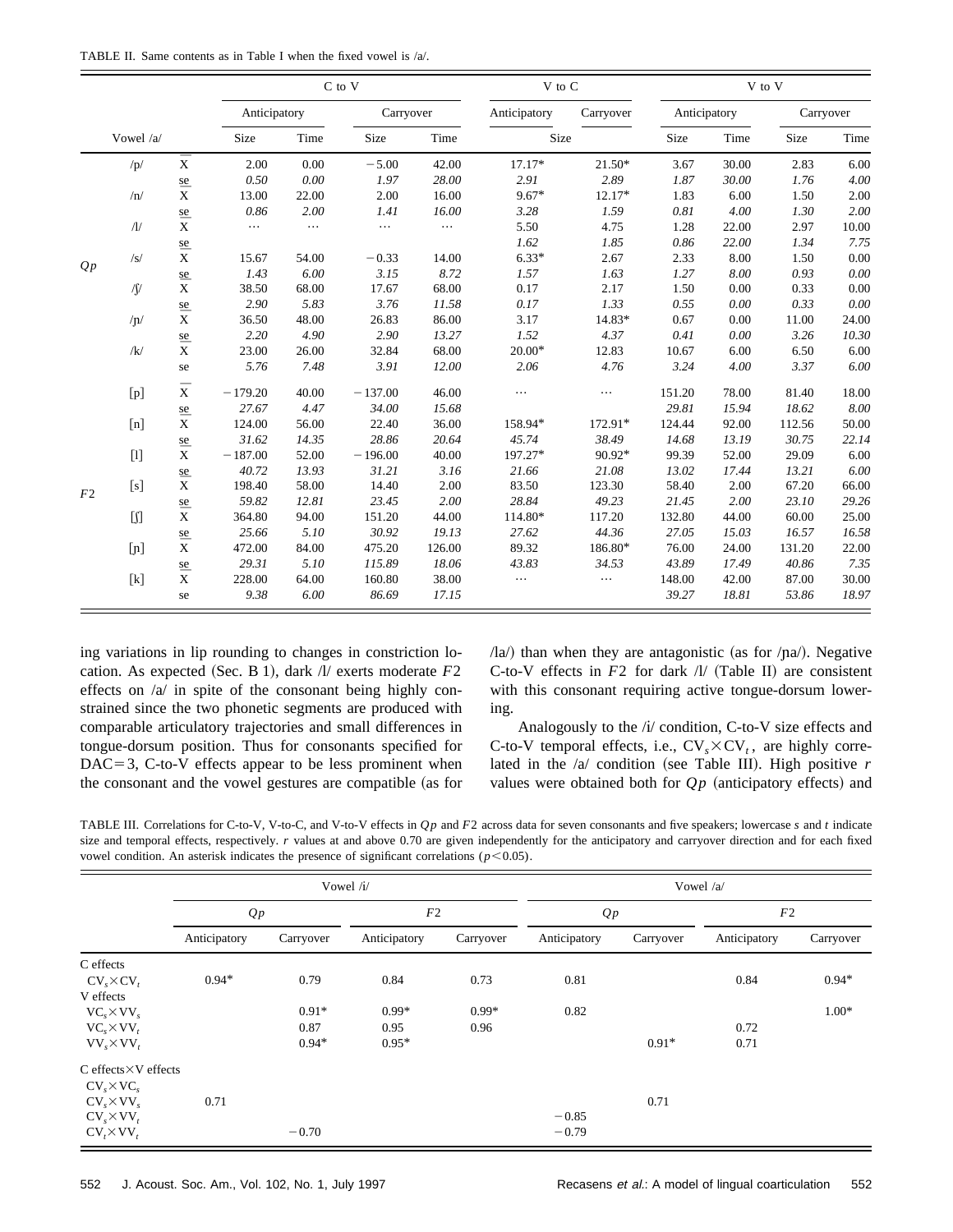TABLE II. Same contents as in Table I when the fixed vowel is /a/.

|                |            |                                 |              | C to V<br>V to C |           |          |              |           |              | V to V |           |       |  |
|----------------|------------|---------------------------------|--------------|------------------|-----------|----------|--------------|-----------|--------------|--------|-----------|-------|--|
|                |            |                                 | Anticipatory |                  | Carryover |          | Anticipatory | Carryover | Anticipatory |        | Carryover |       |  |
|                | Vowel /a/  |                                 | Size         | Time             | Size      | Time     | Size         |           | Size         | Time   | Size      | Time  |  |
| Qp             | /p/        | $\bar{\textbf{x}}$              | 2.00         | 0.00             | $-5.00$   | 42.00    | $17.17*$     | $21.50*$  | 3.67         | 30.00  | 2.83      | 6.00  |  |
|                |            |                                 | 0.50         | 0.00             | 1.97      | 28.00    | 2.91         | 2.89      | 1.87         | 30.00  | 1.76      | 4.00  |  |
|                | /n/        | $\frac{\text{se}}{\text{X}}$    | 13.00        | 22.00            | 2.00      | 16.00    | $9.67*$      | 12.17*    | 1.83         | 6.00   | 1.50      | 2.00  |  |
|                |            | se                              | 0.86         | 2.00             | 1.41      | 16.00    | 3.28         | 1.59      | 0.81         | 4.00   | 1.30      | 2.00  |  |
|                | $\Lambda$  | $\bar{\textbf{x}}$              | $\cdots$     | $\cdots$         | $\cdots$  | $\ldots$ | 5.50         | 4.75      | 1.28         | 22.00  | 2.97      | 10.00 |  |
|                |            |                                 |              |                  |           |          | 1.62         | 1.85      | 0.86         | 22.00  | 1.34      | 7.75  |  |
|                | /s/        | $\frac{\text{se}}{\text{X}}$    | 15.67        | 54.00            | $-0.33$   | 14.00    | $6.33*$      | 2.67      | 2.33         | 8.00   | 1.50      | 0.00  |  |
|                |            |                                 | 1.43         | 6.00             | 3.15      | 8.72     | 1.57         | 1.63      | 1.27         | 8.00   | 0.93      | 0.00  |  |
|                | $\sqrt{ }$ | $\frac{\text{se}}{\text{X}}$    | 38.50        | 68.00            | 17.67     | 68.00    | 0.17         | 2.17      | 1.50         | 0.00   | 0.33      | 0.00  |  |
|                |            |                                 | 2.90         | 5.83             | 3.76      | 11.58    | 0.17         | 1.33      | 0.55         | 0.00   | 0.33      | 0.00  |  |
|                | /n/        | $\frac{\text{se}}{\text{X}}$    | 36.50        | 48.00            | 26.83     | 86.00    | 3.17         | 14.83*    | 0.67         | 0.00   | 11.00     | 24.00 |  |
|                |            |                                 | 2.20         | 4.90             | 2.90      | 13.27    | 1.52         | 4.37      | 0.41         | 0.00   | 3.26      | 10.30 |  |
|                | /k/        | se $\frac{\text{se}}{\text{X}}$ | 23.00        | 26.00            | 32.84     | 68.00    | $20.00*$     | 12.83     | 10.67        | 6.00   | 6.50      | 6.00  |  |
|                |            | se                              | 5.76         | 7.48             | 3.91      | 12.00    | 2.06         | 4.76      | 3.24         | 4.00   | 3.37      | 6.00  |  |
|                | [p]        | $\bar{\textbf{x}}$              | $-179.20$    | 40.00            | $-137.00$ | 46.00    | $\cdots$     |           | 151.20       | 78.00  | 81.40     | 18.00 |  |
|                |            | $\frac{\text{se}}{\text{X}}$    | 27.67        | 4.47             | 34.00     | 15.68    |              |           | 29.81        | 15.94  | 18.62     | 8.00  |  |
|                | [n]        |                                 | 124.00       | 56.00            | 22.40     | 36.00    | 158.94*      | 172.91*   | 124.44       | 92.00  | 112.56    | 50.00 |  |
|                |            |                                 | 31.62        | 14.35            | 28.86     | 20.64    | 45.74        | 38.49     | 14.68        | 13.19  | 30.75     | 22.14 |  |
| F <sub>2</sub> | $[1]$      | $\frac{\text{se}}{\text{X}}$    | $-187.00$    | 52.00            | $-196.00$ | 40.00    | 197.27*      | 90.92*    | 99.39        | 52.00  | 29.09     | 6.00  |  |
|                |            | se                              | 40.72        | 13.93            | 31.21     | 3.16     | 21.66        | 21.08     | 13.02        | 17.44  | 13.21     | 6.00  |  |
|                | [s]        | $\bar{\textbf{x}}$              | 198.40       | 58.00            | 14.40     | 2.00     | 83.50        | 123.30    | 58.40        | 2.00   | 67.20     | 66.00 |  |
|                |            | se                              | 59.82        | 12.81            | 23.45     | 2.00     | 28.84        | 49.23     | 21.45        | 2.00   | 23.10     | 29.26 |  |
|                | $[]$       | $\overline{\overline{x}}$       | 364.80       | 94.00            | 151.20    | 44.00    | 114.80*      | 117.20    | 132.80       | 44.00  | 60.00     | 25.00 |  |
|                |            | se                              | 25.66        | 5.10             | 30.92     | 19.13    | 27.62        | 44.36     | 27.05        | 15.03  | 16.57     | 16.58 |  |
|                | [n]        | $\bar{\textbf{x}}$              | 472.00       | 84.00            | 475.20    | 126.00   | 89.32        | 186.80*   | 76.00        | 24.00  | 131.20    | 22.00 |  |
|                |            |                                 | 29.31        | 5.10             | 115.89    | 18.06    | 43.83        | 34.53     | 43.89        | 17.49  | 40.86     | 7.35  |  |
|                | $[k]$      | $\frac{\text{se}}{\text{X}}$    | 228.00       | 64.00            | 160.80    | 38.00    | $\cdots$     | $\cdots$  | 148.00       | 42.00  | 87.00     | 30.00 |  |
|                |            | se                              | 9.38         | 6.00             | 86.69     | 17.15    |              |           | 39.27        | 18.81  | 53.86     | 18.97 |  |

ing variations in lip rounding to changes in constriction location. As expected (Sec. B 1), dark  $\Lambda$  exerts moderate  $F2$ effects on /a/ in spite of the consonant being highly constrained since the two phonetic segments are produced with comparable articulatory trajectories and small differences in tongue-dorsum position. Thus for consonants specified for  $DAC=3$ ,  $C$ -to-V effects appear to be less prominent when the consonant and the vowel gestures are compatible (as for  $\langle$ la $\rangle$ ) than when they are antagonistic (as for  $\langle$ na $\rangle$ ). Negative C-to-V effects in  $F2$  for dark  $\Lambda$  (Table II) are consistent with this consonant requiring active tongue-dorsum lowering.

Analogously to the /i/ condition, C-to-V size effects and C-to-V temporal effects, i.e.,  $CV_{\gamma} \times CV_{\gamma}$ , are highly correlated in the  $/a$  condition (see Table III). High positive  $r$ values were obtained both for  $Qp$  (anticipatory effects) and

TABLE III. Correlations for C-to-V, V-to-C, and V-to-V effects in *Q p* and *F*2 across data for seven consonants and five speakers; lowercase *s* and *t* indicate size and temporal effects, respectively. *r* values at and above 0.70 are given independently for the anticipatory and carryover direction and for each fixed vowel condition. An asterisk indicates the presence of significant correlations ( $p$ <0.05).

|                                |              |           | Vowel /i/    |           | Vowel /a/    |           |              |           |  |
|--------------------------------|--------------|-----------|--------------|-----------|--------------|-----------|--------------|-----------|--|
|                                | Qp           |           | F2           |           | Qp           |           | F2           |           |  |
|                                | Anticipatory | Carryover | Anticipatory | Carryover | Anticipatory | Carryover | Anticipatory | Carryover |  |
| C effects                      |              |           |              |           |              |           |              |           |  |
| $CV_{s} \times CV_{t}$         | $0.94*$      | 0.79      | 0.84         | 0.73      | 0.81         |           | 0.84         | $0.94*$   |  |
| V effects                      |              |           |              |           |              |           |              |           |  |
| $VC_{s} \times VV_{s}$         |              | $0.91*$   | $0.99*$      | $0.99*$   | 0.82         |           |              | $1.00*$   |  |
| $VC_{s} \times VV_{t}$         |              | 0.87      | 0.95         | 0.96      |              |           | 0.72         |           |  |
| $VV_s \times VV_t$             |              | $0.94*$   | $0.95*$      |           |              | $0.91*$   | 0.71         |           |  |
| $C$ effects $\times V$ effects |              |           |              |           |              |           |              |           |  |
| $CV_{s} \times VC_{s}$         |              |           |              |           |              |           |              |           |  |
| $CV_{s} \times VV_{s}$         | 0.71         |           |              |           |              | 0.71      |              |           |  |
| $CV_s \times VV_t$             |              |           |              |           | $-0.85$      |           |              |           |  |
| $CV_r\times VV_r$              |              | $-0.70$   |              |           | $-0.79$      |           |              |           |  |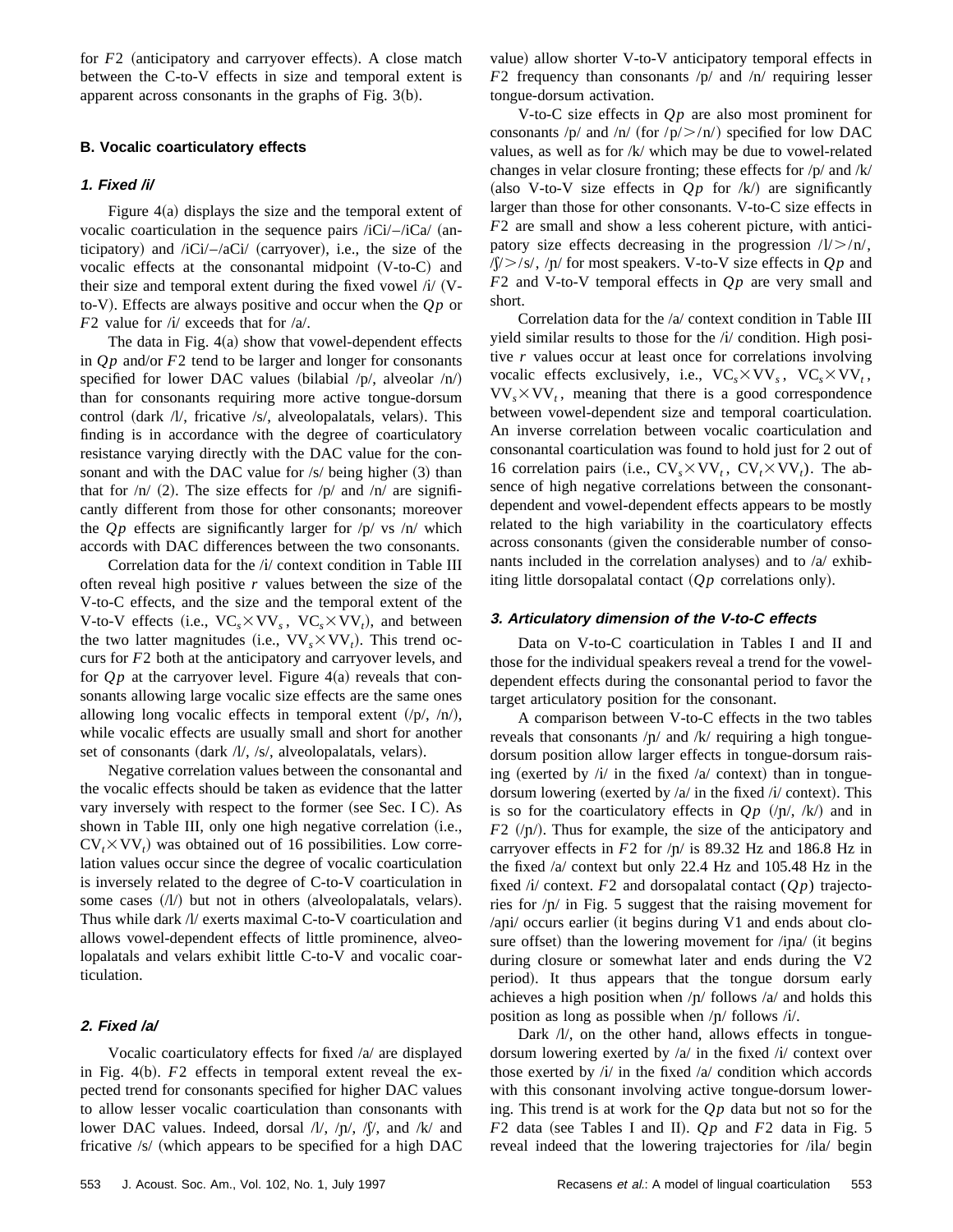for *F*2 (anticipatory and carryover effects). A close match between the C-to-V effects in size and temporal extent is apparent across consonants in the graphs of Fig.  $3(b)$ .

# **B. Vocalic coarticulatory effects**

# **1. Fixed /i/**

Figure  $4(a)$  displays the size and the temporal extent of vocalic coarticulation in the sequence pairs  $\ell i$ Ci $\ell$ –/iCa $\ell$  (anticipatory) and  $\frac{i}{Ci}$ – $\frac{i}{aCi}$  (carryover), i.e., the size of the vocalic effects at the consonantal midpoint  $(V-to-C)$  and their size and temporal extent during the fixed vowel  $\pi$ / $(V$ to-V). Effects are always positive and occur when the  $Qp$  or *F*2 value for /*i*/ exceeds that for /*a*/.

The data in Fig.  $4(a)$  show that vowel-dependent effects in *Q p* and/or *F*2 tend to be larger and longer for consonants specified for lower DAC values (bilabial  $/p/$ , alveolar  $/n/$ ) than for consonants requiring more active tongue-dorsum control (dark /l/, fricative /s/, alveolopalatals, velars). This finding is in accordance with the degree of coarticulatory resistance varying directly with the DAC value for the consonant and with the DAC value for  $/s/$  being higher  $(3)$  than that for  $/n/$  (2). The size effects for  $/p/$  and  $/n/$  are significantly different from those for other consonants; moreover the  $Qp$  effects are significantly larger for  $\sqrt{p}$  vs  $\sqrt{n}$  which accords with DAC differences between the two consonants.

Correlation data for the /{/ context condition in Table III often reveal high positive *r* values between the size of the V-to-C effects, and the size and the temporal extent of the V-to-V effects (i.e.,  $VC_s \times VV_s$ ,  $VC_s \times VV_t$ ), and between the two latter magnitudes (i.e.,  $VV_s \times VV_t$ ). This trend occurs for *F*2 both at the anticipatory and carryover levels, and for  $Op$  at the carryover level. Figure  $4(a)$  reveals that consonants allowing large vocalic size effects are the same ones allowing long vocalic effects in temporal extent  $/(p/$ ,  $/n/$ ), while vocalic effects are usually small and short for another set of consonants (dark  $/l$ ,  $/s$ , alveolopalatals, velars).

Negative correlation values between the consonantal and the vocalic effects should be taken as evidence that the latter vary inversely with respect to the former (see Sec. I C). As shown in Table III, only one high negative correlation (i.e.,  $CV_t \times VV_t$ ) was obtained out of 16 possibilities. Low correlation values occur since the degree of vocalic coarticulation is inversely related to the degree of C-to-V coarticulation in some cases  $(1/1)$  but not in others (alveolopalatals, velars). Thus while dark /l/ exerts maximal C-to-V coarticulation and allows vowel-dependent effects of little prominence, alveolopalatals and velars exhibit little C-to-V and vocalic coarticulation.

# **2. Fixed /a/**

Vocalic coarticulatory effects for fixed /a/ are displayed in Fig.  $4(b)$ .  $F2$  effects in temporal extent reveal the expected trend for consonants specified for higher DAC values to allow lesser vocalic coarticulation than consonants with lower DAC values. Indeed, dorsal  $\Lambda/\Lambda$ ,  $\Lambda/\Lambda$ ,  $\Lambda/\Lambda$ , and  $\Lambda/\Lambda$  and fricative  $/s/$  (which appears to be specified for a high DAC value) allow shorter V-to-V anticipatory temporal effects in *F*2 frequency than consonants /p/ and /n/ requiring lesser tongue-dorsum activation.

V-to-C size effects in *Q p* are also most prominent for consonants /p/ and /n/ (for /p/ $>$ /n/) specified for low DAC values, as well as for /k/ which may be due to vowel-related changes in velar closure fronting; these effects for /p/ and /k/ (also V-to-V size effects in  $Qp$  for  $\langle k \rangle$  are significantly larger than those for other consonants. V-to-C size effects in *F*2 are small and show a less coherent picture, with anticipatory size effects decreasing in the progression  $/1$ / $>$ / $n/$ ,  $\sqrt{(x)}$ /s/,  $\sqrt{n}$  for most speakers. V-to-V size effects in  $Qp$  and *F*2 and V-to-V temporal effects in *Q p* are very small and short.

Correlation data for the /a/ context condition in Table III yield similar results to those for the /{/ condition. High positive *r* values occur at least once for correlations involving vocalic effects exclusively, i.e.,  $VC_s \times VV_s$ ,  $VC_s \times VV_t$ ,  $VV_s \times VV_t$ , meaning that there is a good correspondence between vowel-dependent size and temporal coarticulation. An inverse correlation between vocalic coarticulation and consonantal coarticulation was found to hold just for 2 out of 16 correlation pairs (i.e.,  $CV_s \times VV_t$ ,  $CV_t \times VV_t$ ). The absence of high negative correlations between the consonantdependent and vowel-dependent effects appears to be mostly related to the high variability in the coarticulatory effects across consonants (given the considerable number of consonants included in the correlation analyses) and to  $\alpha$  exhibiting little dorsopalatal contact  $(Qp)$  correlations only).

#### **3. Articulatory dimension of the V-to-C effects**

Data on V-to-C coarticulation in Tables I and II and those for the individual speakers reveal a trend for the voweldependent effects during the consonantal period to favor the target articulatory position for the consonant.

A comparison between V-to-C effects in the two tables reveals that consonants  $/p/$  and  $/k/$  requiring a high tonguedorsum position allow larger effects in tongue-dorsum raising (exerted by  $\pi/$  in the fixed  $\pi/$  context) than in tonguedorsum lowering (exerted by  $/a/$  in the fixed  $/i/$  context). This is so for the coarticulatory effects in  $Qp$  (/p/, /k/) and in  $F2$  (/ $p$ ). Thus for example, the size of the anticipatory and carryover effects in  $F2$  for  $/\eta$  is 89.32 Hz and 186.8 Hz in the fixed /a/ context but only 22.4 Hz and 105.48 Hz in the fixed  $\pi$  context. *F2* and dorsopalatal contact  $(Qp)$  trajectories for  $/p/$  in Fig. 5 suggest that the raising movement for  $\alpha$ <sub>i</sub>  $\alpha$ <sub>i</sub>  $\alpha$ <sub>i</sub>  $\alpha$ <sub>i</sub>  $\alpha$ <sub>i</sub>  $\alpha$ <sub>i</sub>  $\alpha$ <sub>i</sub>  $\alpha$ <sub>i</sub>  $\alpha$ <sub>i</sub>  $\alpha$ <sub>i</sub>  $\alpha$ <sub>i</sub>  $\alpha$ <sub>i</sub>  $\alpha$ <sub>i</sub>  $\alpha$ <sub>i</sub>  $\alpha$ <sub>i</sub>  $\alpha$ <sub>i</sub>  $\alpha$ <sub>i</sub>  $\alpha$ <sub>i</sub>  $\alpha$ <sub>i</sub>  $\alpha$ <sub>i</sub>  $\alpha$ <sub>i</sub>  $\alpha$ <sub>i</sub>  $\alpha$ <sub>i</sub>  $\alpha$ <sub>i</sub>  $\alpha$ <sub>i</sub>  $\alpha$ <sub>i</sub>  $\alpha$ <sub>i</sub>  $\alpha$ <sub></sub> sure offset) than the lowering movement for /ina/ (it begins during closure or somewhat later and ends during the V2 period). It thus appears that the tongue dorsum early achieves a high position when  $\pi/$  follows  $\alpha/$  and holds this position as long as possible when  $/p/$  follows  $/i/$ .

Dark /l/, on the other hand, allows effects in tonguedorsum lowering exerted by  $\alpha$  in the fixed  $\alpha$  context over those exerted by  $\lambda i$  in the fixed  $\lambda a$  condition which accords with this consonant involving active tongue-dorsum lowering. This trend is at work for the *Q p* data but not so for the  $F2$  data (see Tables I and II).  $Qp$  and  $F2$  data in Fig. 5 reveal indeed that the lowering trajectories for /ila/ begin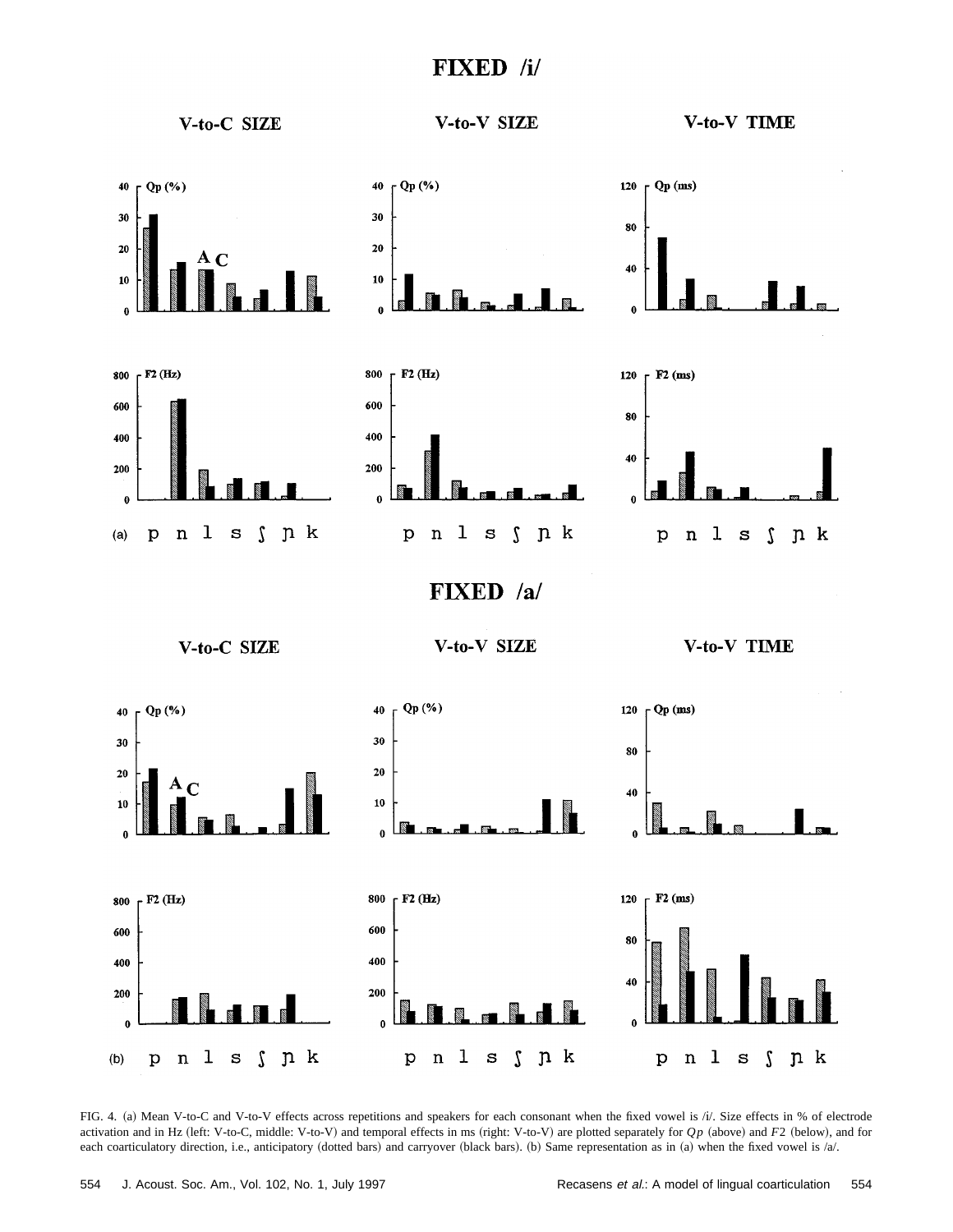# FIXED /i/



FIG. 4. (a) Mean V-to-C and V-to-V effects across repetitions and speakers for each consonant when the fixed vowel is /i/. Size effects in % of electrode activation and in Hz (left: V-to-C, middle: V-to-V) and temporal effects in ms (right: V-to-V) are plotted separately for *Qp* (above) and *F2* (below), and for each coarticulatory direction, i.e., anticipatory (dotted bars) and carryover (black bars). (b) Same representation as in (a) when the fixed vowel is  $/a$ .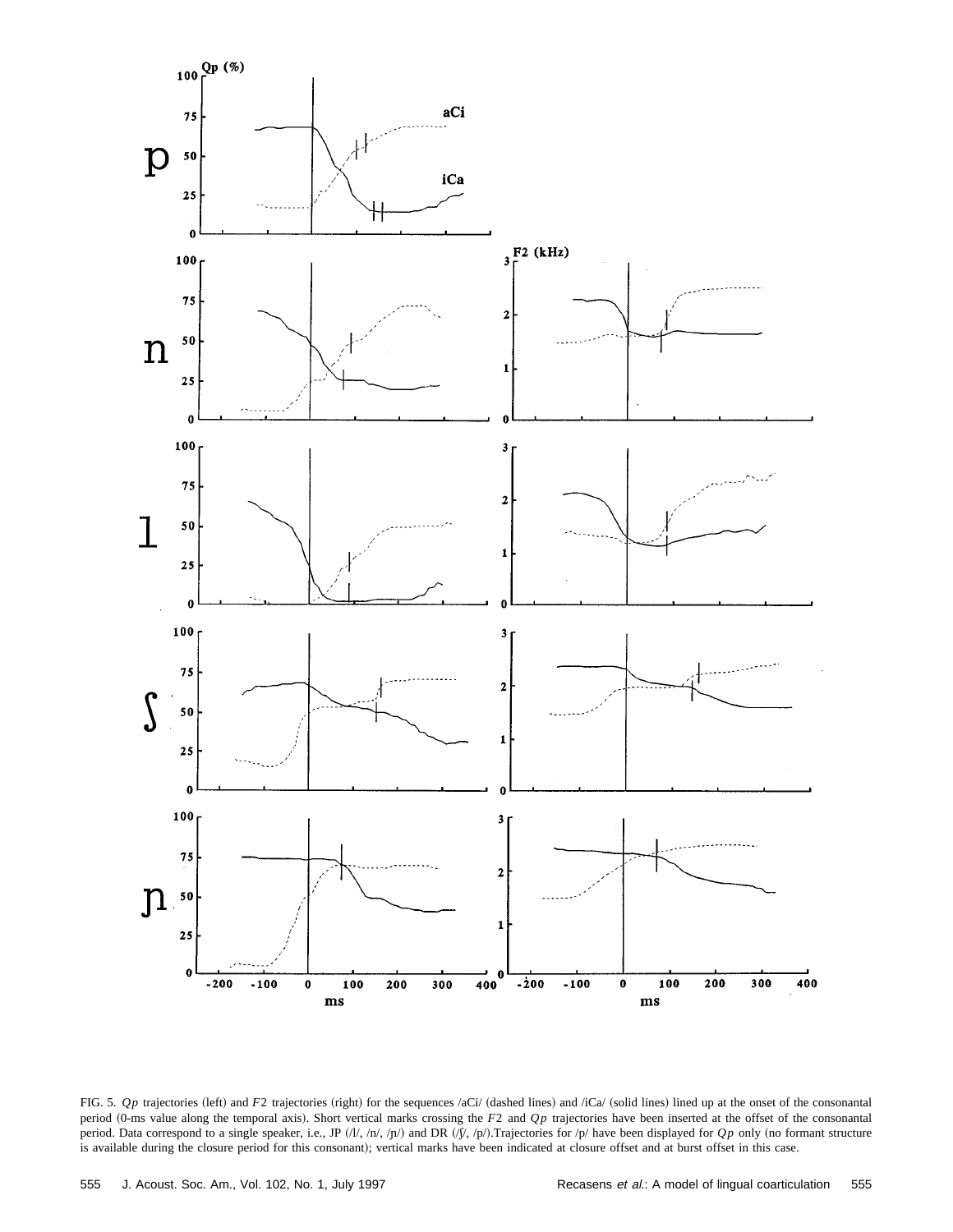

FIG. 5. *Qp* trajectories (left) and *F*2 trajectories (right) for the sequences /aCi/ (dashed lines) and /iCa/ (solid lines) lined up at the onset of the consonantal period (0-ms value along the temporal axis). Short vertical marks crossing the *F*2 and *Qp* trajectories have been inserted at the offset of the consonantal period. Data correspond to a single speaker, i.e., JP  $(l/l,/n/, np/$  and DR  $(l/, np/$ .Trajectories for  $p/$  have been displayed for *Qp* only (no formant structure is available during the closure period for this consonant); vertical marks have been indicated at closure offset and at burst offset in this case.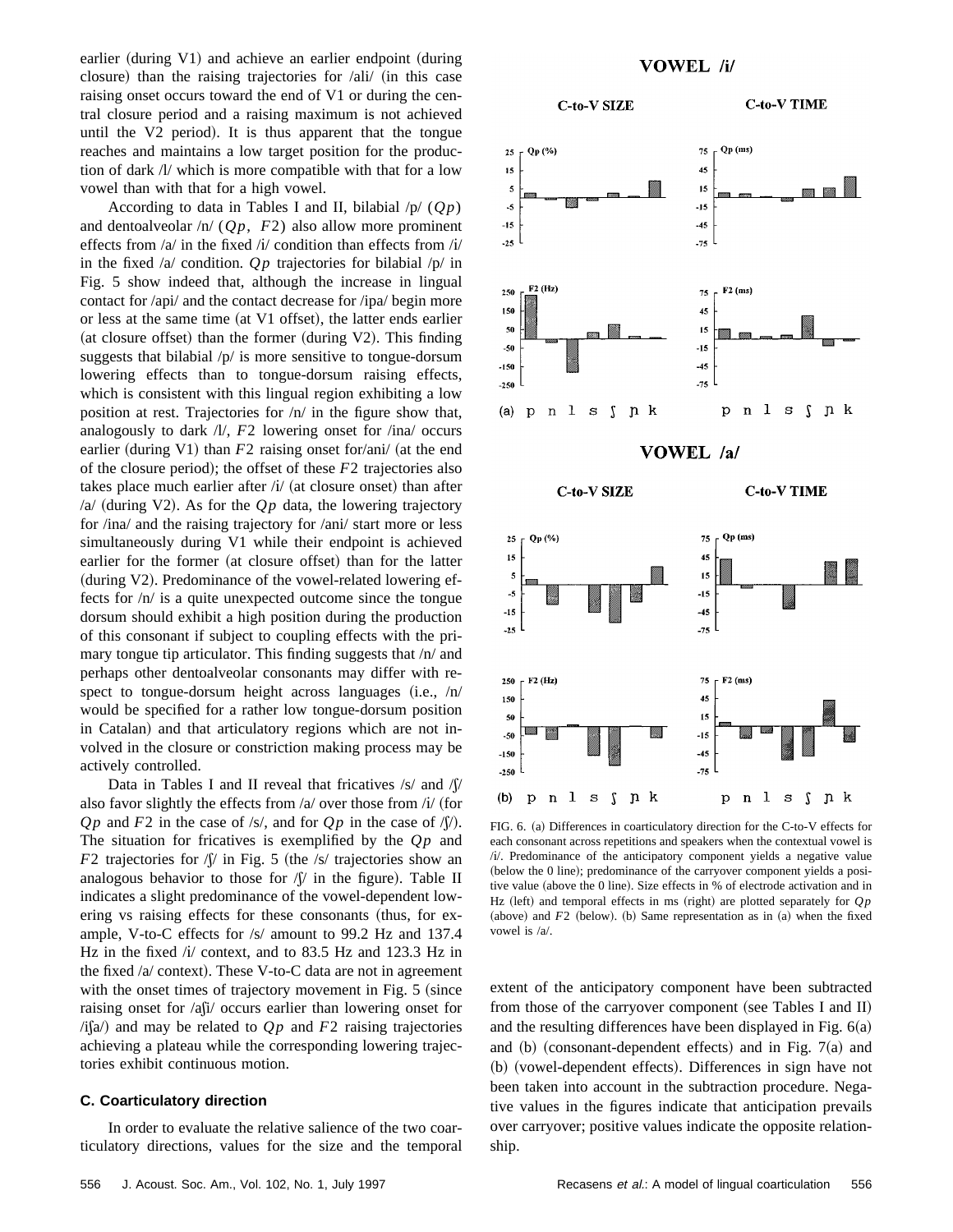earlier (during V1) and achieve an earlier endpoint (during closure) than the raising trajectories for  $/ali/$  (in this case raising onset occurs toward the end of V1 or during the central closure period and a raising maximum is not achieved until the  $V2$  period). It is thus apparent that the tongue reaches and maintains a low target position for the production of dark /l/ which is more compatible with that for a low vowel than with that for a high vowel.

According to data in Tables I and II, bilabial  $/p/(Op)$ and dentoalveolar  $/n/(Op, F2)$  also allow more prominent effects from  $\alpha$  in the fixed  $\dot{\alpha}$  condition than effects from  $\dot{\alpha}$ in the fixed  $/a$  condition.  $Qp$  trajectories for bilabial  $/p/$  in Fig. 5 show indeed that, although the increase in lingual contact for /api/ and the contact decrease for /ipa/ begin more or less at the same time (at V1 offset), the latter ends earlier (at closure offset) than the former (during V2). This finding suggests that bilabial /p/ is more sensitive to tongue-dorsum lowering effects than to tongue-dorsum raising effects, which is consistent with this lingual region exhibiting a low position at rest. Trajectories for /n/ in the figure show that, analogously to dark /l/, *F*2 lowering onset for /ina/ occurs earlier (during V1) than  $F2$  raising onset for/ani/ (at the end of the closure period); the offset of these *F*2 trajectories also takes place much earlier after  $\frac{1}{4}$  (at closure onset) than after /a/ (during V2). As for the  $Qp$  data, the lowering trajectory for /ina/ and the raising trajectory for /ani/ start more or less simultaneously during V1 while their endpoint is achieved earlier for the former (at closure offset) than for the latter (during V2). Predominance of the vowel-related lowering effects for /n/ is a quite unexpected outcome since the tongue dorsum should exhibit a high position during the production of this consonant if subject to coupling effects with the primary tongue tip articulator. This finding suggests that /n/ and perhaps other dentoalveolar consonants may differ with respect to tongue-dorsum height across languages  $(i.e.,/n/$ would be specified for a rather low tongue-dorsum position in Catalan) and that articulatory regions which are not involved in the closure or constriction making process may be actively controlled.

Data in Tables I and II reveal that fricatives  $/s/$  and  $\sqrt{s}/s$ also favor slightly the effects from  $/a$  over those from  $/i$  (for *Qp* and *F*2 in the case of /s/, and for *Qp* in the case of  $\Lambda$ . The situation for fricatives is exemplified by the *Q p* and *F*2 trajectories for  $\sqrt{y}$  in Fig. 5 (the /s/ trajectories show an analogous behavior to those for  $\sqrt{v}$  in the figure). Table II indicates a slight predominance of the vowel-dependent lowering vs raising effects for these consonants (thus, for example, V-to-C effects for /s/ amount to 99.2 Hz and 137.4 Hz in the fixed /i/ context, and to 83.5 Hz and 123.3 Hz in the fixed  $/a$  context). These V-to-C data are not in agreement with the onset times of trajectory movement in Fig.  $5$  (since raising onset for /afi/ occurs earlier than lowering onset for  $\ell$ ifa $\ell$ ) and may be related to  $Qp$  and  $F2$  raising trajectories achieving a plateau while the corresponding lowering trajectories exhibit continuous motion.

# **C. Coarticulatory direction**

In order to evaluate the relative salience of the two coarticulatory directions, values for the size and the temporal





FIG. 6. (a) Differences in coarticulatory direction for the C-to-V effects for each consonant across repetitions and speakers when the contextual vowel is /i/. Predominance of the anticipatory component yields a negative value (below the 0 line); predominance of the carryover component yields a positive value (above the 0 line). Size effects in % of electrode activation and in Hz (left) and temporal effects in ms (right) are plotted separately for  $Qp$ (above) and  $F2$  (below). (b) Same representation as in  $(a)$  when the fixed vowel is /a/.

extent of the anticipatory component have been subtracted from those of the carryover component (see Tables I and II) and the resulting differences have been displayed in Fig.  $6(a)$ and  $(b)$  (consonant-dependent effects) and in Fig. 7(a) and (b) (vowel-dependent effects). Differences in sign have not been taken into account in the subtraction procedure. Negative values in the figures indicate that anticipation prevails over carryover; positive values indicate the opposite relationship.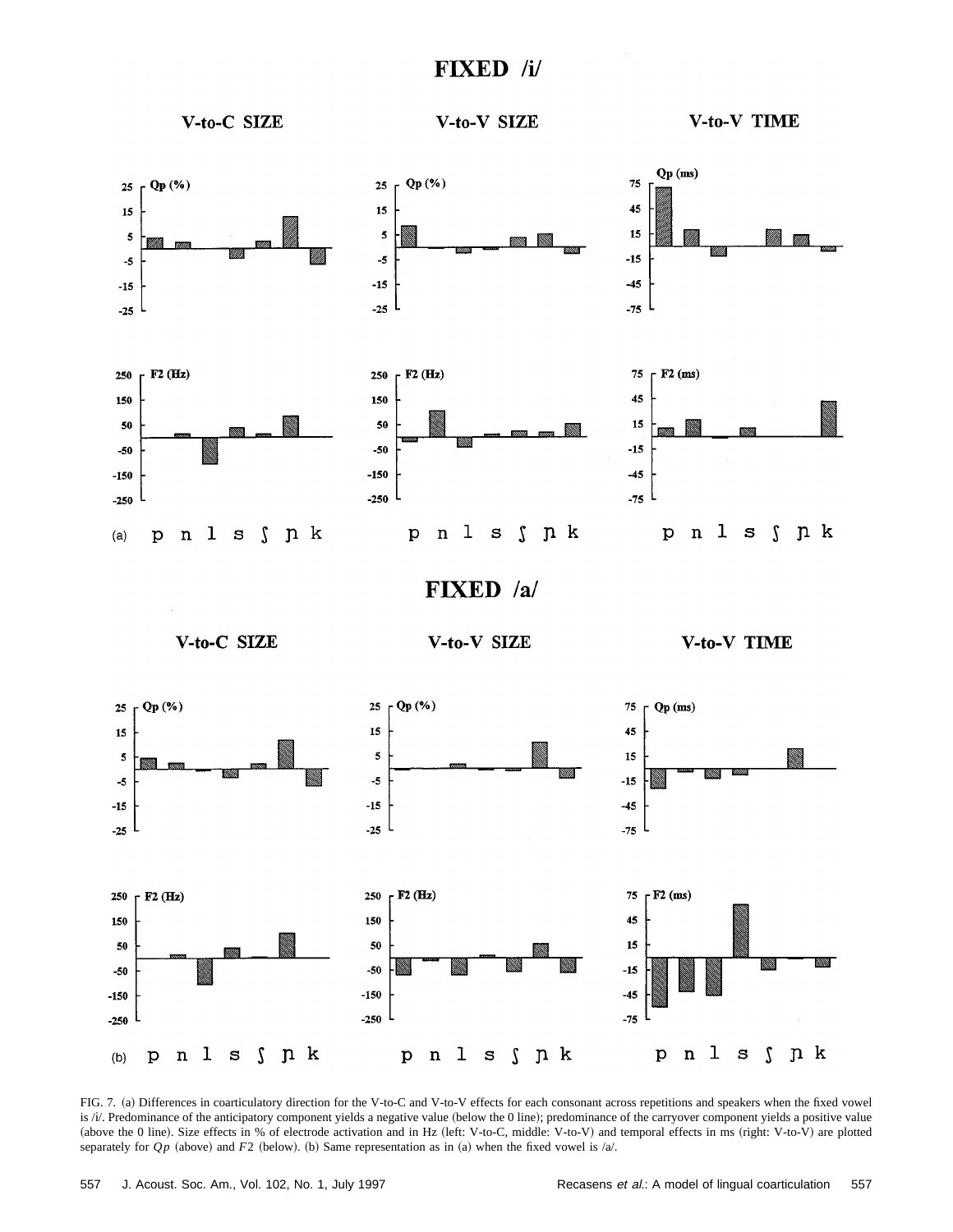# **FIXED** /i/



FIG. 7. (a) Differences in coarticulatory direction for the V-to-C and V-to-V effects for each consonant across repetitions and speakers when the fixed vowel is /i/. Predominance of the anticipatory component yields a negative value (below the 0 line); predominance of the carryover component yields a positive value (above the 0 line). Size effects in % of electrode activation and in Hz (left: V-to-C, middle: V-to-V) and temporal effects in ms (right: V-to-V) are plotted separately for  $Qp$  (above) and  $F2$  (below). (b) Same representation as in (a) when the fixed vowel is /a/.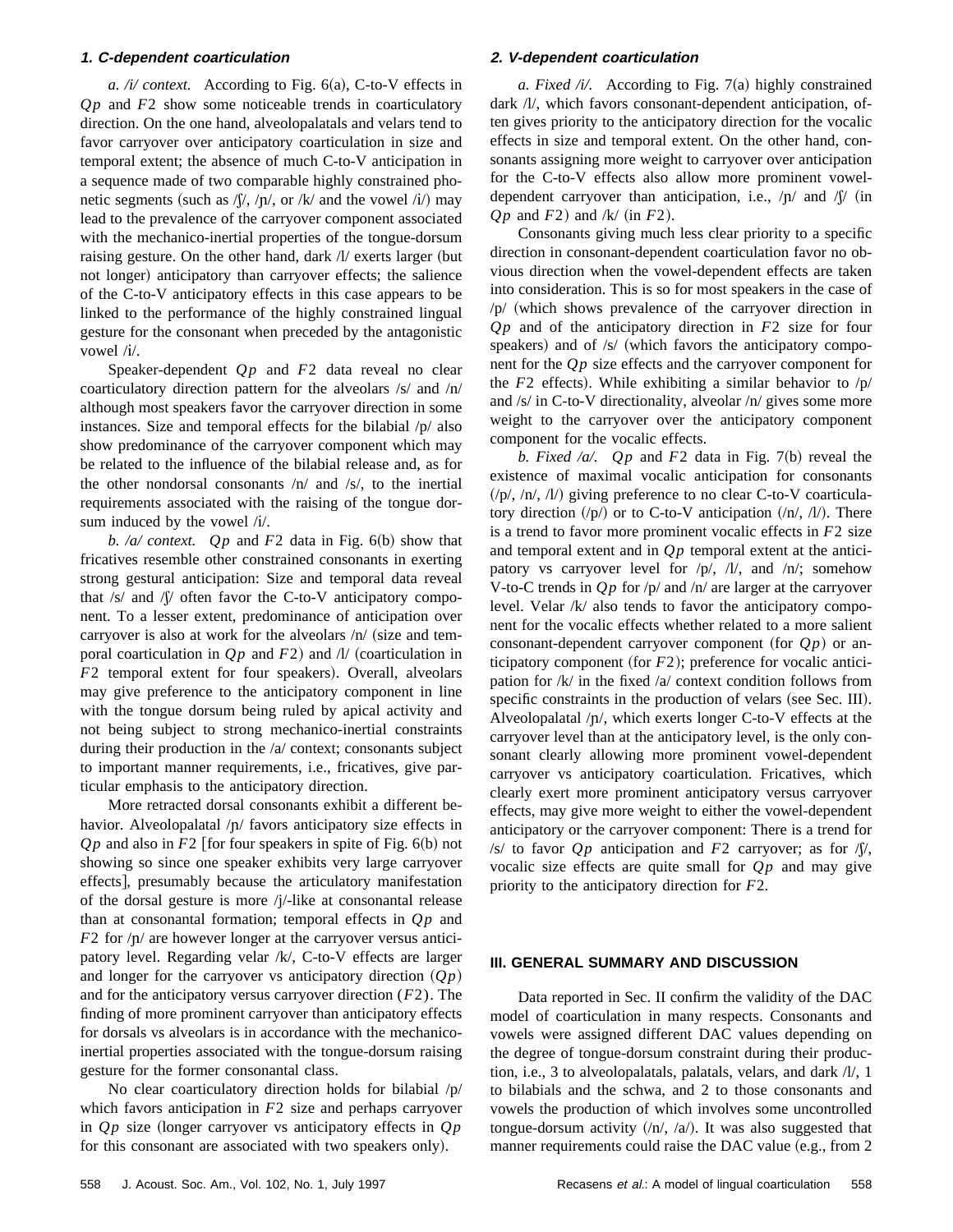### **1. C-dependent coarticulation**

*a. /i/ context.* According to Fig.  $6(a)$ , C-to-V effects in *Q p* and *F*2 show some noticeable trends in coarticulatory direction. On the one hand, alveolopalatals and velars tend to favor carryover over anticipatory coarticulation in size and temporal extent; the absence of much C-to-V anticipation in a sequence made of two comparable highly constrained phonetic segments (such as  $/\sqrt{p}$ , /p/, or /k/ and the vowel /i/) may lead to the prevalence of the carryover component associated with the mechanico-inertial properties of the tongue-dorsum raising gesture. On the other hand, dark  $\Lambda$  exerts larger (but not longer) anticipatory than carryover effects; the salience of the C-to-V anticipatory effects in this case appears to be linked to the performance of the highly constrained lingual gesture for the consonant when preceded by the antagonistic vowel /i/.

Speaker-dependent  $Qp$  and  $F2$  data reveal no clear coarticulatory direction pattern for the alveolars /s/ and /n/ although most speakers favor the carryover direction in some instances. Size and temporal effects for the bilabial /p/ also show predominance of the carryover component which may be related to the influence of the bilabial release and, as for the other nondorsal consonants /n/ and /s/, to the inertial requirements associated with the raising of the tongue dorsum induced by the vowel /i/.

*b. /a/ context. Qp* and  $F2$  data in Fig. 6(b) show that fricatives resemble other constrained consonants in exerting strong gestural anticipation: Size and temporal data reveal that  $/s/$  and  $\sqrt{s}/$  often favor the C-to-V anticipatory component. To a lesser extent, predominance of anticipation over carryover is also at work for the alveolars  $/n/$  (size and temporal coarticulation in  $Qp$  and  $F2$ ) and  $\Lambda$ / (coarticulation in *F*2 temporal extent for four speakers). Overall, alveolars may give preference to the anticipatory component in line with the tongue dorsum being ruled by apical activity and not being subject to strong mechanico-inertial constraints during their production in the /a/ context; consonants subject to important manner requirements, i.e., fricatives, give particular emphasis to the anticipatory direction.

More retracted dorsal consonants exhibit a different behavior. Alveolopalatal  $/p/$  favors anticipatory size effects in  $Qp$  and also in  $F2$  [for four speakers in spite of Fig. 6(b) not showing so since one speaker exhibits very large carryover effects], presumably because the articulatory manifestation of the dorsal gesture is more /j/-like at consonantal release than at consonantal formation; temporal effects in *Q p* and *F*2 for  $/\pi$  are however longer at the carryover versus anticipatory level. Regarding velar /k/, C-to-V effects are larger and longer for the carryover vs anticipatory direction  $(Qp)$ and for the anticipatory versus carryover direction (*F*2). The finding of more prominent carryover than anticipatory effects for dorsals vs alveolars is in accordance with the mechanicoinertial properties associated with the tongue-dorsum raising gesture for the former consonantal class.

No clear coarticulatory direction holds for bilabial /p/ which favors anticipation in *F*2 size and perhaps carryover in  $Qp$  size (longer carryover vs anticipatory effects in  $Qp$ for this consonant are associated with two speakers only).

# **2. V-dependent coarticulation**

*a. Fixed /i/.* According to Fig. 7(a) highly constrained dark /l/, which favors consonant-dependent anticipation, often gives priority to the anticipatory direction for the vocalic effects in size and temporal extent. On the other hand, consonants assigning more weight to carryover over anticipation for the C-to-V effects also allow more prominent voweldependent carryover than anticipation, i.e.,  $/p/$  and  $//(p$  (in  $Qp$  and  $F2$ ) and /k/ (in  $F2$ ).

Consonants giving much less clear priority to a specific direction in consonant-dependent coarticulation favor no obvious direction when the vowel-dependent effects are taken into consideration. This is so for most speakers in the case of  $/p/$  (which shows prevalence of the carryover direction in *Q p* and of the anticipatory direction in *F*2 size for four speakers) and of  $/s/$  (which favors the anticipatory component for the *Q p* size effects and the carryover component for the  $F2$  effects). While exhibiting a similar behavior to  $/p/$ and /s/ in C-to-V directionality, alveolar /n/ gives some more weight to the carryover over the anticipatory component component for the vocalic effects.

*b. Fixed /a/. Qp* and  $F2$  data in Fig. 7(b) reveal the existence of maximal vocalic anticipation for consonants  $(\pi/(\eta)/\pi/(\eta)/\eta)$  giving preference to no clear C-to-V coarticulatory direction  $/(p)$  or to C-to-V anticipation  $/(n/$ ,  $/l)$ . There is a trend to favor more prominent vocalic effects in *F*2 size and temporal extent and in  $Qp$  temporal extent at the anticipatory vs carryover level for /p/, /l/, and /n/; somehow V-to-C trends in  $Qp$  for  $/p$  and  $/n$  are larger at the carryover level. Velar /k/ also tends to favor the anticipatory component for the vocalic effects whether related to a more salient consonant-dependent carryover component (for  $Op$ ) or anticipatory component (for  $F2$ ); preference for vocalic anticipation for  $/k/$  in the fixed  $/a/$  context condition follows from specific constraints in the production of velars (see Sec. III). Alveolopalatal  $/p/$ , which exerts longer C-to-V effects at the carryover level than at the anticipatory level, is the only consonant clearly allowing more prominent vowel-dependent carryover vs anticipatory coarticulation. Fricatives, which clearly exert more prominent anticipatory versus carryover effects, may give more weight to either the vowel-dependent anticipatory or the carryover component: There is a trend for /s/ to favor  $Qp$  anticipation and  $F2$  carryover; as for  $\sqrt{y}$ , vocalic size effects are quite small for  $Qp$  and may give priority to the anticipatory direction for *F*2.

#### **III. GENERAL SUMMARY AND DISCUSSION**

Data reported in Sec. II confirm the validity of the DAC model of coarticulation in many respects. Consonants and vowels were assigned different DAC values depending on the degree of tongue-dorsum constraint during their production, i.e., 3 to alveolopalatals, palatals, velars, and dark /l/, 1 to bilabials and the schwa, and 2 to those consonants and vowels the production of which involves some uncontrolled tongue-dorsum activity  $/(n/$ ,  $/a/$ ). It was also suggested that manner requirements could raise the DAC value (e.g., from  $2$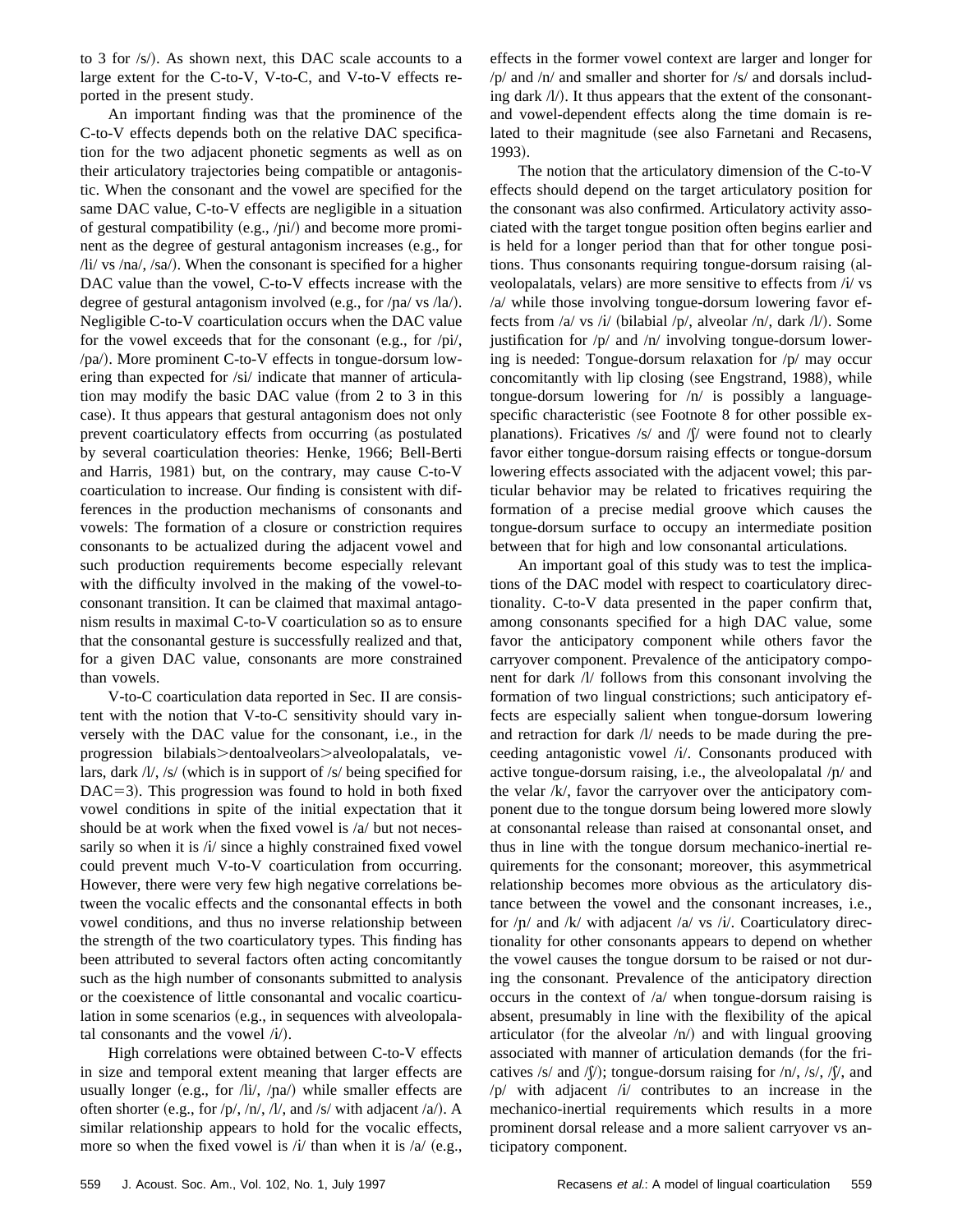to 3 for  $\sqrt{s}$ . As shown next, this DAC scale accounts to a large extent for the C-to-V, V-to-C, and V-to-V effects reported in the present study.

An important finding was that the prominence of the C-to-V effects depends both on the relative DAC specification for the two adjacent phonetic segments as well as on their articulatory trajectories being compatible or antagonistic. When the consonant and the vowel are specified for the same DAC value, C-to-V effects are negligible in a situation of gestural compatibility (e.g.,  $\langle \text{pi} \rangle$ ) and become more prominent as the degree of gestural antagonism increases  $(e.g., for$  $\frac{di}{dx}$  vs  $\frac{na}{y}$ ,  $\frac{sa}{y}$ . When the consonant is specified for a higher DAC value than the vowel, C-to-V effects increase with the degree of gestural antagonism involved (e.g., for  $/pa/ vs /la/$ ). Negligible C-to-V coarticulation occurs when the DAC value for the vowel exceeds that for the consonant (e.g., for  $/pi/$ , /pa/). More prominent C-to-V effects in tongue-dorsum lowering than expected for /si/ indicate that manner of articulation may modify the basic DAC value (from  $2$  to  $3$  in this case). It thus appears that gestural antagonism does not only prevent coarticulatory effects from occurring (as postulated by several coarticulation theories: Henke, 1966; Bell-Berti and Harris,  $1981$ ) but, on the contrary, may cause C-to-V coarticulation to increase. Our finding is consistent with differences in the production mechanisms of consonants and vowels: The formation of a closure or constriction requires consonants to be actualized during the adjacent vowel and such production requirements become especially relevant with the difficulty involved in the making of the vowel-toconsonant transition. It can be claimed that maximal antagonism results in maximal C-to-V coarticulation so as to ensure that the consonantal gesture is successfully realized and that, for a given DAC value, consonants are more constrained than vowels.

V-to-C coarticulation data reported in Sec. II are consistent with the notion that V-to-C sensitivity should vary inversely with the DAC value for the consonant, i.e., in the progression bilabials>dentoalveolars>alveolopalatals, velars, dark  $/V$ , /s/ (which is in support of /s/ being specified for  $DAC=3$ ). This progression was found to hold in both fixed vowel conditions in spite of the initial expectation that it should be at work when the fixed vowel is /a/ but not necessarily so when it is /i/ since a highly constrained fixed vowel could prevent much V-to-V coarticulation from occurring. However, there were very few high negative correlations between the vocalic effects and the consonantal effects in both vowel conditions, and thus no inverse relationship between the strength of the two coarticulatory types. This finding has been attributed to several factors often acting concomitantly such as the high number of consonants submitted to analysis or the coexistence of little consonantal and vocalic coarticulation in some scenarios  $(e.g.,$  in sequences with alveolopalatal consonants and the vowel  $(i)$ .

High correlations were obtained between C-to-V effects in size and temporal extent meaning that larger effects are usually longer (e.g., for /li/, / $\eta$ a/) while smaller effects are often shorter (e.g., for /p/, /n/, /l/, and /s/ with adjacent /a/). A similar relationship appears to hold for the vocalic effects, more so when the fixed vowel is  $/i/$  than when it is  $/a/$  (e.g., effects in the former vowel context are larger and longer for /p/ and /n/ and smaller and shorter for /s/ and dorsals including dark  $\langle \frac{1}{\rangle}$ . It thus appears that the extent of the consonantand vowel-dependent effects along the time domain is related to their magnitude (see also Farnetani and Recasens, 1993).

The notion that the articulatory dimension of the C-to-V effects should depend on the target articulatory position for the consonant was also confirmed. Articulatory activity associated with the target tongue position often begins earlier and is held for a longer period than that for other tongue positions. Thus consonants requiring tongue-dorsum raising (alveolopalatals, velars) are more sensitive to effects from /i/ vs /a/ while those involving tongue-dorsum lowering favor effects from /a/ vs /i/ (bilabial /p/, alveolar /n/, dark /l/). Some justification for /p/ and /n/ involving tongue-dorsum lowering is needed: Tongue-dorsum relaxation for /p/ may occur concomitantly with lip closing (see Engstrand, 1988), while tongue-dorsum lowering for /n/ is possibly a languagespecific characteristic (see Footnote 8 for other possible explanations). Fricatives  $/s/$  and  $\sqrt{v}$  were found not to clearly favor either tongue-dorsum raising effects or tongue-dorsum lowering effects associated with the adjacent vowel; this particular behavior may be related to fricatives requiring the formation of a precise medial groove which causes the tongue-dorsum surface to occupy an intermediate position between that for high and low consonantal articulations.

An important goal of this study was to test the implications of the DAC model with respect to coarticulatory directionality. C-to-V data presented in the paper confirm that, among consonants specified for a high DAC value, some favor the anticipatory component while others favor the carryover component. Prevalence of the anticipatory component for dark /l/ follows from this consonant involving the formation of two lingual constrictions; such anticipatory effects are especially salient when tongue-dorsum lowering and retraction for dark /l/ needs to be made during the preceeding antagonistic vowel /i/. Consonants produced with active tongue-dorsum raising, i.e., the alveolopalatal  $/p/$  and the velar /k/, favor the carryover over the anticipatory component due to the tongue dorsum being lowered more slowly at consonantal release than raised at consonantal onset, and thus in line with the tongue dorsum mechanico-inertial requirements for the consonant; moreover, this asymmetrical relationship becomes more obvious as the articulatory distance between the vowel and the consonant increases, i.e., for  $/p/$  and  $/k/$  with adjacent  $/a/$  vs  $/i/$ . Coarticulatory directionality for other consonants appears to depend on whether the vowel causes the tongue dorsum to be raised or not during the consonant. Prevalence of the anticipatory direction occurs in the context of /a/ when tongue-dorsum raising is absent, presumably in line with the flexibility of the apical articulator (for the alveolar  $/n/$ ) and with lingual grooving associated with manner of articulation demands (for the fricatives /s/ and / $\hat{y}$ ); tongue-dorsum raising for /n/, /s/, / $\hat{y}$ , and  $/p/$  with adjacent  $/i/$  contributes to an increase in the mechanico-inertial requirements which results in a more prominent dorsal release and a more salient carryover vs anticipatory component.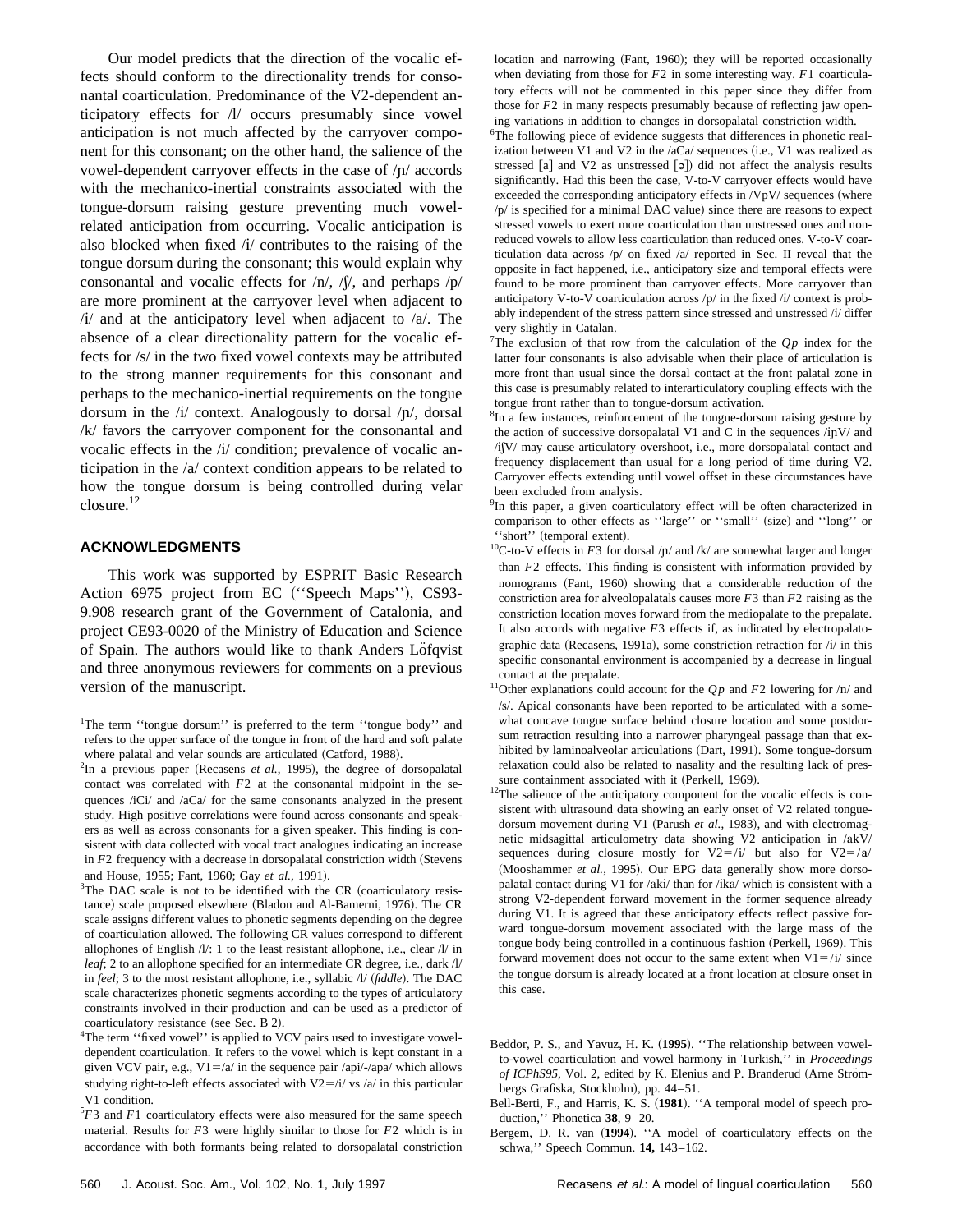Our model predicts that the direction of the vocalic effects should conform to the directionality trends for consonantal coarticulation. Predominance of the V2-dependent anticipatory effects for /l/ occurs presumably since vowel anticipation is not much affected by the carryover component for this consonant; on the other hand, the salience of the vowel-dependent carryover effects in the case of  $/p/$  accords with the mechanico-inertial constraints associated with the tongue-dorsum raising gesture preventing much vowelrelated anticipation from occurring. Vocalic anticipation is also blocked when fixed  $(i)$  contributes to the raising of the tongue dorsum during the consonant; this would explain why consonantal and vocalic effects for  $/n/$ ,  $\sqrt{y}$ , and perhaps  $\sqrt{p}/$ are more prominent at the carryover level when adjacent to  $\frac{1}{4}$  and at the anticipatory level when adjacent to  $\frac{1}{4}$ . The absence of a clear directionality pattern for the vocalic effects for /s/ in the two fixed vowel contexts may be attributed to the strong manner requirements for this consonant and perhaps to the mechanico-inertial requirements on the tongue dorsum in the  $\pi/$  context. Analogously to dorsal  $/\pi/$ , dorsal /k/ favors the carryover component for the consonantal and vocalic effects in the /i/ condition; prevalence of vocalic anticipation in the /a/ context condition appears to be related to how the tongue dorsum is being controlled during velar closure.12

# **ACKNOWLEDGMENTS**

This work was supported by ESPRIT Basic Research Action 6975 project from EC ("Speech Maps"), CS93-9.908 research grant of the Government of Catalonia, and project CE93-0020 of the Ministry of Education and Science of Spain. The authors would like to thank Anders Löfqvist and three anonymous reviewers for comments on a previous version of the manuscript.

 $3$ The DAC scale is not to be identified with the CR (coarticulatory resistance) scale proposed elsewhere (Bladon and Al-Bamerni, 1976). The CR scale assigns different values to phonetic segments depending on the degree of coarticulation allowed. The following CR values correspond to different allophones of English /l/: 1 to the least resistant allophone, i.e., clear /l/ in *leaf*; 2 to an allophone specified for an intermediate CR degree, i.e., dark /l/ in *feel*; 3 to the most resistant allophone, i.e., syllabic  $\Lambda$  (*fiddle*). The DAC scale characterizes phonetic segments according to the types of articulatory constraints involved in their production and can be used as a predictor of  $coarticulatorv resistance (see Sec. B 2).$ 

<sup>4</sup>The term "fixed vowel" is applied to VCV pairs used to investigate voweldependent coarticulation. It refers to the vowel which is kept constant in a given VCV pair, e.g.,  $V1 = /a/$  in the sequence pair /api/-/apa/ which allows studying right-to-left effects associated with  $V2 = /i / v s / a /$  in this particular V1 condition.

5 *F*3 and *F*1 coarticulatory effects were also measured for the same speech material. Results for *F*3 were highly similar to those for *F*2 which is in accordance with both formants being related to dorsopalatal constriction location and narrowing (Fant, 1960); they will be reported occasionally when deviating from those for *F*2 in some interesting way. *F*1 coarticulatory effects will not be commented in this paper since they differ from those for *F*2 in many respects presumably because of reflecting jaw opening variations in addition to changes in dorsopalatal constriction width.

6 The following piece of evidence suggests that differences in phonetic realization between V1 and V2 in the  $aCa/$  sequences (i.e., V1 was realized as stressed  $[a]$  and V2 as unstressed  $[a]$  did not affect the analysis results significantly. Had this been the case, V-to-V carryover effects would have exceeded the corresponding anticipatory effects in  $/\mathrm{VpV}/$  sequences (where  $/p$  is specified for a minimal DAC value) since there are reasons to expect stressed vowels to exert more coarticulation than unstressed ones and nonreduced vowels to allow less coarticulation than reduced ones. V-to-V coarticulation data across /p/ on fixed /a/ reported in Sec. II reveal that the opposite in fact happened, i.e., anticipatory size and temporal effects were found to be more prominent than carryover effects. More carryover than anticipatory V-to-V coarticulation across  $/p/$  in the fixed  $/i/$  context is probably independent of the stress pattern since stressed and unstressed /i/ differ very slightly in Catalan.

<sup>7</sup>The exclusion of that row from the calculation of the  $Qp$  index for the latter four consonants is also advisable when their place of articulation is more front than usual since the dorsal contact at the front palatal zone in this case is presumably related to interarticulatory coupling effects with the tongue front rather than to tongue-dorsum activation.

<sup>8</sup>In a few instances, reinforcement of the tongue-dorsum raising gesture by the action of successive dorsopalatal V1 and C in the sequences  $\pi/(\text{pV})$  and  $\langle i|V\rangle$  may cause articulatory overshoot, i.e., more dorsopalatal contact and frequency displacement than usual for a long period of time during V2. Carryover effects extending until vowel offset in these circumstances have been excluded from analysis.

<sup>9</sup>In this paper, a given coarticulatory effect will be often characterized in comparison to other effects as "large" or "small" (size) and "long" or "short" (temporal extent).

<sup>10</sup>C-to-V effects in  $F3$  for dorsal  $/p/$  and  $/k/$  are somewhat larger and longer than *F*2 effects. This finding is consistent with information provided by nomograms (Fant, 1960) showing that a considerable reduction of the constriction area for alveolopalatals causes more *F*3 than *F*2 raising as the constriction location moves forward from the mediopalate to the prepalate. It also accords with negative *F*3 effects if, as indicated by electropalatographic data (Recasens, 1991a), some constriction retraction for  $/i$  in this specific consonantal environment is accompanied by a decrease in lingual contact at the prepalate.

<sup>11</sup>Other explanations could account for the  $Qp$  and  $F2$  lowering for  $/n/$  and /2/. Apical consonants have been reported to be articulated with a somewhat concave tongue surface behind closure location and some postdorsum retraction resulting into a narrower pharyngeal passage than that exhibited by laminoalveolar articulations (Dart, 1991). Some tongue-dorsum relaxation could also be related to nasality and the resulting lack of pressure containment associated with it (Perkell, 1969).

<sup>12</sup>The salience of the anticipatory component for the vocalic effects is consistent with ultrasound data showing an early onset of V2 related tonguedorsum movement during V1 (Parush et al., 1983), and with electromagnetic midsagittal articulometry data showing V2 anticipation in /akV/ sequences during closure mostly for  $V2 = /i/$  but also for  $V2 = /a/$ (Mooshammer et al., 1995). Our EPG data generally show more dorsopalatal contact during V1 for /aki/ than for /ika/ which is consistent with a strong V2-dependent forward movement in the former sequence already during V1. It is agreed that these anticipatory effects reflect passive forward tongue-dorsum movement associated with the large mass of the tongue body being controlled in a continuous fashion (Perkell, 1969). This forward movement does not occur to the same extent when  $V1 = i/i$  since the tongue dorsum is already located at a front location at closure onset in this case.

- Bell-Berti, F., and Harris, K. S. (1981). "A temporal model of speech production,'' Phonetica **38**, 9–20.
- Bergem, D. R. van (1994). "A model of coarticulatory effects on the schwa,'' Speech Commun. **14,** 143–162.

<sup>&</sup>lt;sup>1</sup>The term "tongue dorsum" is preferred to the term "tongue body" and refers to the upper surface of the tongue in front of the hard and soft palate where palatal and velar sounds are articulated (Catford, 1988).

 $^{2}$ In a previous paper (Recasens *et al.*, 1995), the degree of dorsopalatal contact was correlated with *F*2 at the consonantal midpoint in the sequences /iCi/ and /aCa/ for the same consonants analyzed in the present study. High positive correlations were found across consonants and speakers as well as across consonants for a given speaker. This finding is consistent with data collected with vocal tract analogues indicating an increase in  $F2$  frequency with a decrease in dorsopalatal constriction width (Stevens and House, 1955; Fant, 1960; Gay et al., 1991).

Beddor, P. S., and Yavuz, H. K. ~**1995**!. ''The relationship between vowelto-vowel coarticulation and vowel harmony in Turkish,'' in *Proceedings* of ICPhS95, Vol. 2, edited by K. Elenius and P. Branderud (Arne Strömbergs Grafiska, Stockholm), pp. 44-51.